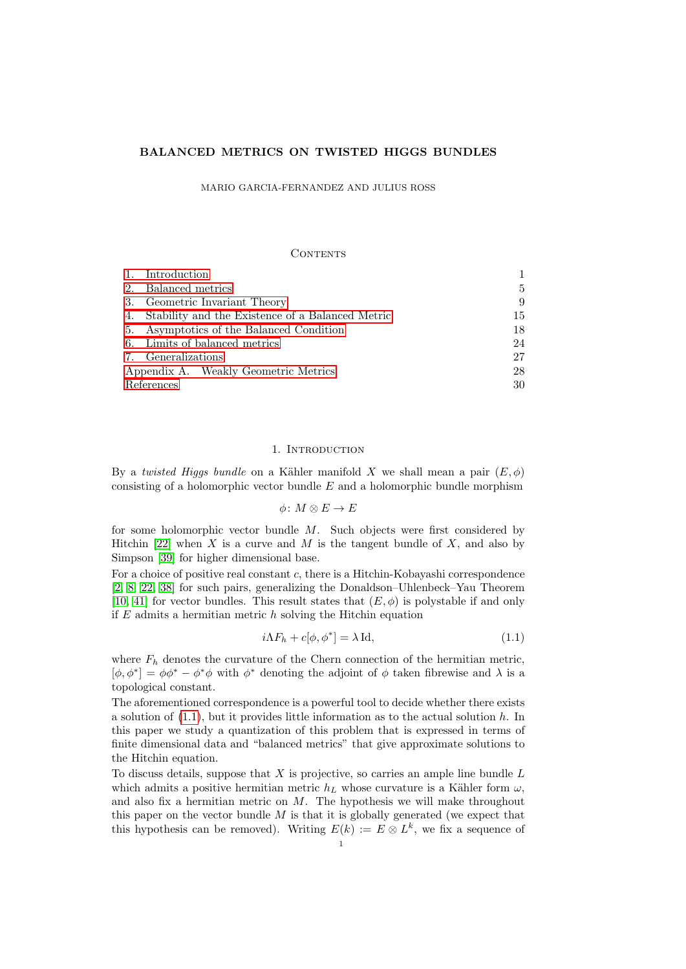# BALANCED METRICS ON TWISTED HIGGS BUNDLES

MARIO GARCIA-FERNANDEZ AND JULIUS ROSS

#### CONTENTS

|                                      | 1. Introduction                                     |    |
|--------------------------------------|-----------------------------------------------------|----|
| 2.                                   | Balanced metrics                                    | 5  |
|                                      | 3. Geometric Invariant Theory                       | 9  |
|                                      | 4. Stability and the Existence of a Balanced Metric | 15 |
|                                      | 5. Asymptotics of the Balanced Condition            | 18 |
|                                      | 6. Limits of balanced metrics                       | 24 |
|                                      | 7. Generalizations                                  | 27 |
| Appendix A. Weakly Geometric Metrics |                                                     | 28 |
| References                           |                                                     | 30 |

# 1. INTRODUCTION

<span id="page-0-0"></span>By a twisted Higgs bundle on a Kähler manifold X we shall mean a pair  $(E, \phi)$ consisting of a holomorphic vector bundle  $E$  and a holomorphic bundle morphism

 $\phi\colon M\otimes E\to E$ 

for some holomorphic vector bundle M. Such objects were first considered by Hitchin [\[22\]](#page-30-0) when X is a curve and M is the tangent bundle of X, and also by Simpson [\[39\]](#page-30-1) for higher dimensional base.

For a choice of positive real constant c, there is a Hitchin-Kobayashi correspondence [\[2,](#page-29-1) [8,](#page-30-2) [22,](#page-30-0) [38\]](#page-30-3) for such pairs, generalizing the Donaldson–Uhlenbeck–Yau Theorem [\[10,](#page-30-4) [41\]](#page-31-0) for vector bundles. This result states that  $(E, \phi)$  is polystable if and only if  $E$  admits a hermitian metric  $h$  solving the Hitchin equation

<span id="page-0-1"></span>
$$
i\Lambda F_h + c[\phi, \phi^*] = \lambda \operatorname{Id},\tag{1.1}
$$

where  $F_h$  denotes the curvature of the Chern connection of the hermitian metric,  $[\phi, \phi^*] = \phi \phi^* - \phi^* \phi$  with  $\phi^*$  denoting the adjoint of  $\phi$  taken fibrewise and  $\lambda$  is a topological constant.

The aforementioned correspondence is a powerful tool to decide whether there exists a solution of  $(1.1)$ , but it provides little information as to the actual solution h. In this paper we study a quantization of this problem that is expressed in terms of finite dimensional data and "balanced metrics" that give approximate solutions to the Hitchin equation.

To discuss details, suppose that  $X$  is projective, so carries an ample line bundle  $L$ which admits a positive hermitian metric  $h_L$  whose curvature is a Kähler form  $\omega$ . and also fix a hermitian metric on  $M$ . The hypothesis we will make throughout this paper on the vector bundle  $M$  is that it is globally generated (we expect that this hypothesis can be removed). Writing  $E(k) := E \otimes L^k$ , we fix a sequence of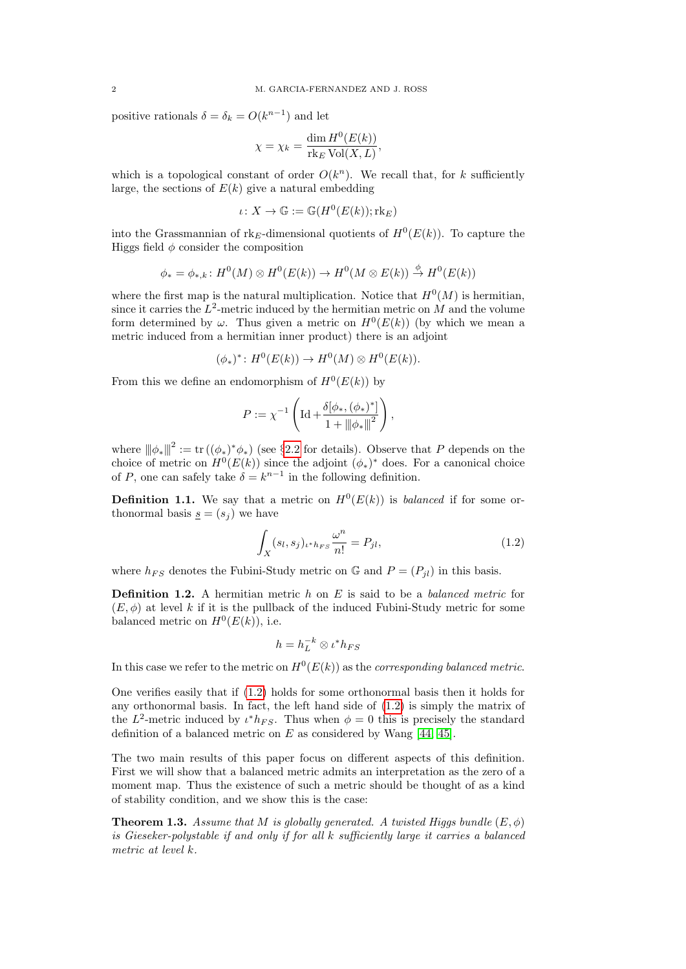positive rationals  $\delta = \delta_k = O(k^{n-1})$  and let

$$
\chi = \chi_k = \frac{\dim H^0(E(k))}{\text{rk}_E \operatorname{Vol}(X, L)},
$$

which is a topological constant of order  $O(k^n)$ . We recall that, for k sufficiently large, the sections of  $E(k)$  give a natural embedding

$$
\iota\colon X\to \mathbb{G}:=\mathbb{G}(H^0(E(k));\mathrm{rk}_E)
$$

into the Grassmannian of rk<sub>E</sub>-dimensional quotients of  $H^0(E(k))$ . To capture the Higgs field  $\phi$  consider the composition

$$
\phi_* = \phi_{*,k} \colon H^0(M) \otimes H^0(E(k)) \to H^0(M \otimes E(k)) \stackrel{\phi}{\to} H^0(E(k))
$$

where the first map is the natural multiplication. Notice that  $H^0(M)$  is hermitian, since it carries the  $L^2$ -metric induced by the hermitian metric on M and the volume form determined by  $\omega$ . Thus given a metric on  $H^0(E(k))$  (by which we mean a metric induced from a hermitian inner product) there is an adjoint

$$
(\phi_*)^* : H^0(E(k)) \to H^0(M) \otimes H^0(E(k)).
$$

From this we define an endomorphism of  $H^0(E(k))$  by

$$
P := \chi^{-1} \left( \mathrm{Id} + \frac{\delta[\phi_*, (\phi_*)^*]}{1 + {\|\phi_*\|}^2} \right),
$$

where  $\|\phi_*\|^2 := \text{tr}((\phi_*)^*\phi_*)$  (see §[2.2](#page-5-0) for details). Observe that P depends on the choice of metric on  $H^0(E(k))$  since the adjoint  $(\phi_*)^*$  does. For a canonical choice of P, one can safely take  $\delta = k^{n-1}$  in the following definition.

**Definition 1.1.** We say that a metric on  $H^0(E(k))$  is balanced if for some orthonormal basis  $s = (s_i)$  we have

<span id="page-1-0"></span>
$$
\int_{X} (s_l, s_j)_{\iota^* h_{FS}} \frac{\omega^n}{n!} = P_{jl},\tag{1.2}
$$

where  $h_{FS}$  denotes the Fubini-Study metric on G and  $P = (P_{il})$  in this basis.

**Definition 1.2.** A hermitian metric h on E is said to be a balanced metric for  $(E, \phi)$  at level k if it is the pullback of the induced Fubini-Study metric for some balanced metric on  $H^0(E(k))$ , i.e.

$$
h = h_L^{-k} \otimes \iota^* h_{FS}
$$

In this case we refer to the metric on  $H^0(E(k))$  as the *corresponding balanced metric*.

One verifies easily that if [\(1.2\)](#page-1-0) holds for some orthonormal basis then it holds for any orthonormal basis. In fact, the left hand side of [\(1.2\)](#page-1-0) is simply the matrix of the  $L^2$ -metric induced by  $\iota^* h_{FS}$ . Thus when  $\phi = 0$  this is precisely the standard definition of a balanced metric on  $E$  as considered by Wang [\[44,](#page-31-1) [45\]](#page-31-2).

The two main results of this paper focus on different aspects of this definition. First we will show that a balanced metric admits an interpretation as the zero of a moment map. Thus the existence of such a metric should be thought of as a kind of stability condition, and we show this is the case:

<span id="page-1-1"></span>**Theorem 1.3.** Assume that M is globally generated. A twisted Higgs bundle  $(E, \phi)$ is Gieseker-polystable if and only if for all k sufficiently large it carries a balanced metric at level k.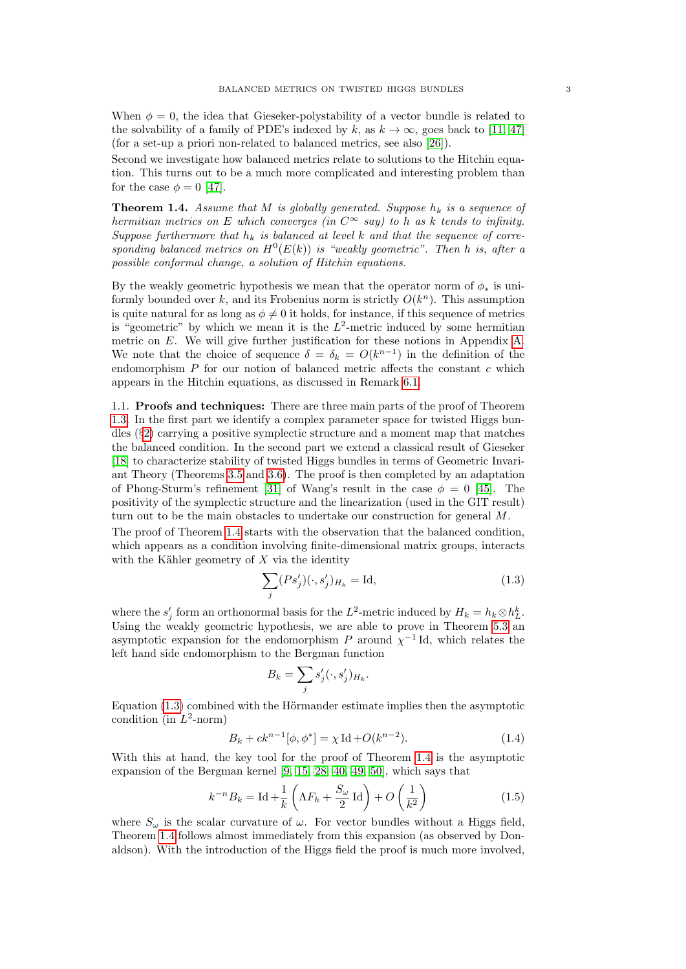When  $\phi = 0$ , the idea that Gieseker-polystability of a vector bundle is related to the solvability of a family of PDE's indexed by k, as  $k \to \infty$ , goes back to [\[11,](#page-30-5) [47\]](#page-31-3) (for a set-up a priori non-related to balanced metrics, see also [\[26\]](#page-30-6)).

Second we investigate how balanced metrics relate to solutions to the Hitchin equation. This turns out to be a much more complicated and interesting problem than for the case  $\phi = 0$  [\[47\]](#page-31-3).

<span id="page-2-0"></span>**Theorem 1.4.** Assume that M is globally generated. Suppose  $h_k$  is a sequence of hermitian metrics on E which converges (in  $C^{\infty}$  say) to h as k tends to infinity. Suppose furthermore that  $h_k$  is balanced at level k and that the sequence of corresponding balanced metrics on  $H^0(E(k))$  is "weakly geometric". Then h is, after a possible conformal change, a solution of Hitchin equations.

By the weakly geometric hypothesis we mean that the operator norm of  $\phi_*$  is uniformly bounded over  $k$ , and its Frobenius norm is strictly  $O(k^n)$ . This assumption is quite natural for as long as  $\phi \neq 0$  it holds, for instance, if this sequence of metrics is "geometric" by which we mean it is the  $L^2$ -metric induced by some hermitian metric on E. We will give further justification for these notions in Appendix [A.](#page-27-0) We note that the choice of sequence  $\delta = \delta_k = O(k^{n-1})$  in the definition of the endomorphism  $P$  for our notion of balanced metric affects the constant  $c$  which appears in the Hitchin equations, as discussed in Remark [6.1.](#page-23-1)

1.1. Proofs and techniques: There are three main parts of the proof of Theorem [1.3.](#page-1-1) In the first part we identify a complex parameter space for twisted Higgs bundles (§[2\)](#page-4-0) carrying a positive symplectic structure and a moment map that matches the balanced condition. In the second part we extend a classical result of Gieseker [\[18\]](#page-30-7) to characterize stability of twisted Higgs bundles in terms of Geometric Invariant Theory (Theorems [3.5](#page-10-0) and [3.6\)](#page-10-1). The proof is then completed by an adaptation of Phong-Sturm's refinement [\[31\]](#page-30-8) of Wang's result in the case  $\phi = 0$  [\[45\]](#page-31-2). The positivity of the symplectic structure and the linearization (used in the GIT result) turn out to be the main obstacles to undertake our construction for general M.

The proof of Theorem [1.4](#page-2-0) starts with the observation that the balanced condition, which appears as a condition involving finite-dimensional matrix groups, interacts with the Kähler geometry of  $X$  via the identity

<span id="page-2-1"></span>
$$
\sum_{j} (Ps'_j)(\cdot, s'_j)_{H_k} = \text{Id},\tag{1.3}
$$

where the  $s'_j$  form an orthonormal basis for the L<sup>2</sup>-metric induced by  $H_k = h_k \otimes h_L^k$ . Using the weakly geometric hypothesis, we are able to prove in Theorem [5.3](#page-18-0) an asymptotic expansion for the endomorphism P around  $\chi^{-1}$  Id, which relates the left hand side endomorphism to the Bergman function

$$
B_k = \sum_j s'_j(\cdot, s'_j)_{H_k}.
$$

Equation  $(1.3)$  combined with the Hörmander estimate implies then the asymptotic condition (in  $L^2$ -norm)

$$
B_k + ck^{n-1}[\phi, \phi^*] = \chi \operatorname{Id} + O(k^{n-2}).
$$
\n(1.4)

With this at hand, the key tool for the proof of Theorem [1.4](#page-2-0) is the asymptotic expansion of the Bergman kernel [\[9,](#page-30-9) [15,](#page-30-10) [28,](#page-30-11) [40,](#page-31-4) [49,](#page-31-5) [50\]](#page-31-6), which says that

$$
k^{-n}B_k = \text{Id} + \frac{1}{k} \left(\Lambda F_h + \frac{S_\omega}{2} \text{ Id}\right) + O\left(\frac{1}{k^2}\right)
$$
 (1.5)

where  $S_{\omega}$  is the scalar curvature of  $\omega$ . For vector bundles without a Higgs field, Theorem [1.4](#page-2-0) follows almost immediately from this expansion (as observed by Donaldson). With the introduction of the Higgs field the proof is much more involved,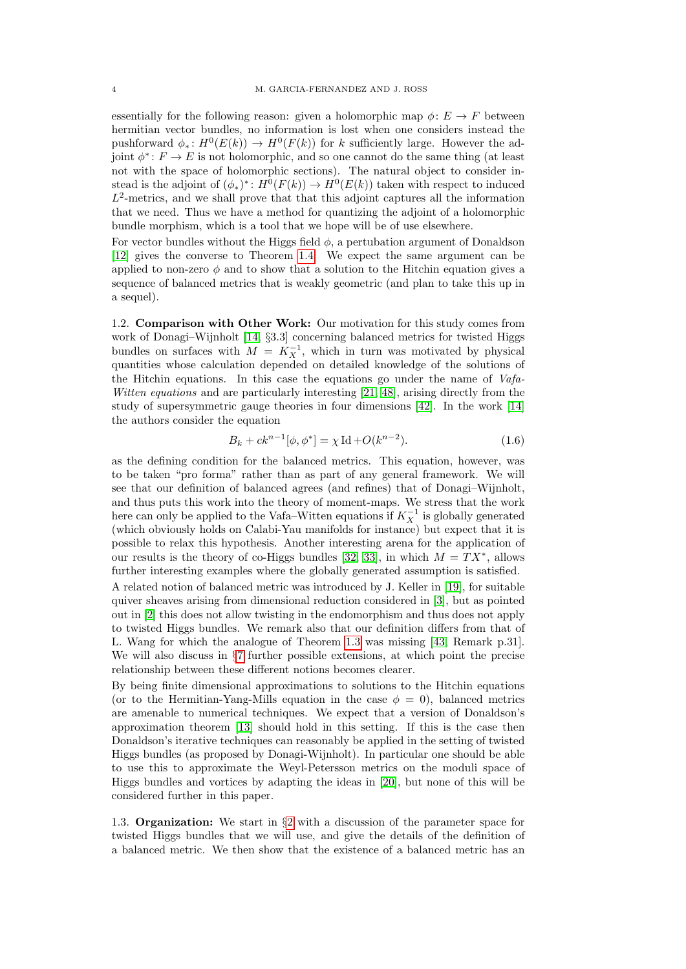essentially for the following reason: given a holomorphic map  $\phi: E \to F$  between hermitian vector bundles, no information is lost when one considers instead the pushforward  $\phi_*: H^0(E(k)) \to H^0(F(k))$  for k sufficiently large. However the adjoint  $\phi^*: F \to E$  is not holomorphic, and so one cannot do the same thing (at least not with the space of holomorphic sections). The natural object to consider instead is the adjoint of  $(\phi_*)^*: H^0(F(k)) \to H^0(E(k))$  taken with respect to induced  $L^2$ -metrics, and we shall prove that that this adjoint captures all the information that we need. Thus we have a method for quantizing the adjoint of a holomorphic bundle morphism, which is a tool that we hope will be of use elsewhere.

For vector bundles without the Higgs field  $\phi$ , a pertubation argument of Donaldson [\[12\]](#page-30-12) gives the converse to Theorem [1.4.](#page-2-0) We expect the same argument can be applied to non-zero  $\phi$  and to show that a solution to the Hitchin equation gives a sequence of balanced metrics that is weakly geometric (and plan to take this up in a sequel).

1.2. **Comparison with Other Work:** Our motivation for this study comes from work of Donagi–Wijnholt [\[14,](#page-30-13) §3.3] concerning balanced metrics for twisted Higgs bundles on surfaces with  $M = K_X^{-1}$ , which in turn was motivated by physical quantities whose calculation depended on detailed knowledge of the solutions of the Hitchin equations. In this case the equations go under the name of  $Vafa$ -Witten equations and are particularly interesting [\[21,](#page-30-14) [48\]](#page-31-7), arising directly from the study of supersymmetric gauge theories in four dimensions [\[42\]](#page-31-8). In the work [\[14\]](#page-30-13) the authors consider the equation

$$
B_k + ck^{n-1}[\phi, \phi^*] = \chi \operatorname{Id} + O(k^{n-2}).\tag{1.6}
$$

as the defining condition for the balanced metrics. This equation, however, was to be taken "pro forma" rather than as part of any general framework. We will see that our definition of balanced agrees (and refines) that of Donagi–Wijnholt, and thus puts this work into the theory of moment-maps. We stress that the work here can only be applied to the Vafa–Witten equations if  $K_X^{-1}$  is globally generated (which obviously holds on Calabi-Yau manifolds for instance) but expect that it is possible to relax this hypothesis. Another interesting arena for the application of our results is the theory of co-Higgs bundles [\[32,](#page-30-15) [33\]](#page-30-16), in which  $M = TX^*$ , allows further interesting examples where the globally generated assumption is satisfied.

A related notion of balanced metric was introduced by J. Keller in [\[19\]](#page-30-17), for suitable quiver sheaves arising from dimensional reduction considered in [\[3\]](#page-29-2), but as pointed out in [\[2\]](#page-29-1) this does not allow twisting in the endomorphism and thus does not apply to twisted Higgs bundles. We remark also that our definition differs from that of L. Wang for which the analogue of Theorem [1.3](#page-1-1) was missing [\[43,](#page-31-9) Remark p.31]. We will also discuss in §[7](#page-26-0) further possible extensions, at which point the precise relationship between these different notions becomes clearer.

By being finite dimensional approximations to solutions to the Hitchin equations (or to the Hermitian-Yang-Mills equation in the case  $\phi = 0$ ), balanced metrics are amenable to numerical techniques. We expect that a version of Donaldson's approximation theorem [\[13\]](#page-30-18) should hold in this setting. If this is the case then Donaldson's iterative techniques can reasonably be applied in the setting of twisted Higgs bundles (as proposed by Donagi-Wijnholt). In particular one should be able to use this to approximate the Weyl-Petersson metrics on the moduli space of Higgs bundles and vortices by adapting the ideas in [\[20\]](#page-30-19), but none of this will be considered further in this paper.

1.3. **Organization:** We start in  $\S2$  $\S2$  with a discussion of the parameter space for twisted Higgs bundles that we will use, and give the details of the definition of a balanced metric. We then show that the existence of a balanced metric has an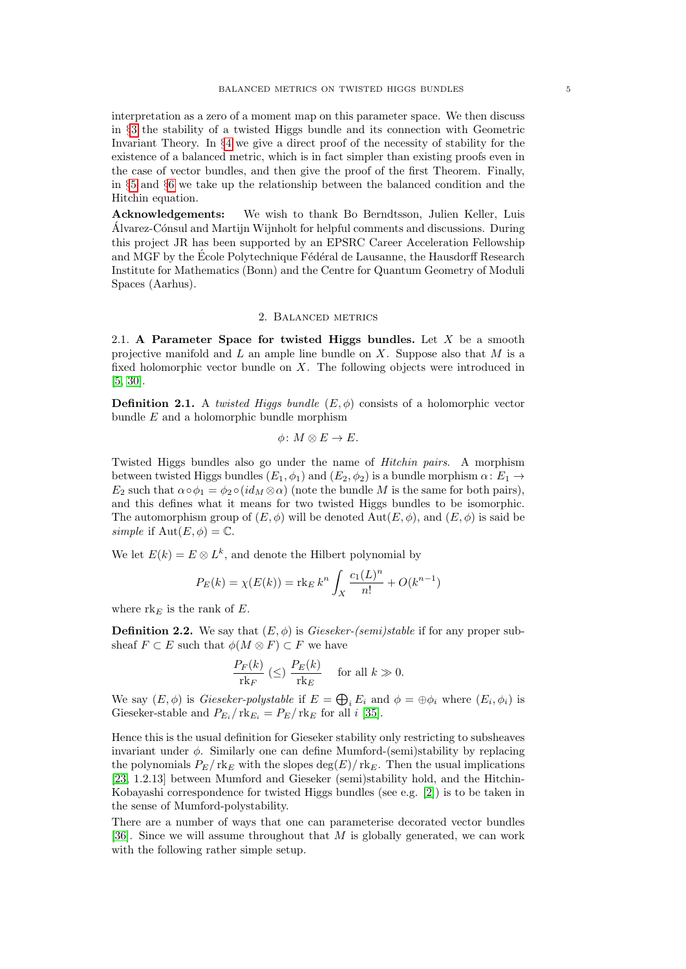interpretation as a zero of a moment map on this parameter space. We then discuss in §[3](#page-8-0) the stability of a twisted Higgs bundle and its connection with Geometric Invariant Theory. In §[4](#page-14-0) we give a direct proof of the necessity of stability for the existence of a balanced metric, which is in fact simpler than existing proofs even in the case of vector bundles, and then give the proof of the first Theorem. Finally, in §[5](#page-17-0) and §[6](#page-23-0) we take up the relationship between the balanced condition and the Hitchin equation.

Acknowledgements: We wish to thank Bo Berndtsson, Julien Keller, Luis Alvarez-Cónsul and Martijn Wijnholt for helpful comments and discussions. During this project JR has been supported by an EPSRC Career Acceleration Fellowship and MGF by the École Polytechnique Fédéral de Lausanne, the Hausdorff Research Institute for Mathematics (Bonn) and the Centre for Quantum Geometry of Moduli Spaces (Aarhus).

## 2. Balanced metrics

<span id="page-4-1"></span><span id="page-4-0"></span>2.1. A Parameter Space for twisted Higgs bundles. Let  $X$  be a smooth projective manifold and  $L$  an ample line bundle on  $X$ . Suppose also that  $M$  is a fixed holomorphic vector bundle on X. The following objects were introduced in [\[5,](#page-29-3) [30\]](#page-30-20).

**Definition 2.1.** A twisted Higgs bundle  $(E, \phi)$  consists of a holomorphic vector bundle  $E$  and a holomorphic bundle morphism

$$
\phi\colon M\otimes E\to E.
$$

Twisted Higgs bundles also go under the name of Hitchin pairs. A morphism between twisted Higgs bundles  $(E_1, \phi_1)$  and  $(E_2, \phi_2)$  is a bundle morphism  $\alpha \colon E_1 \to$  $E_2$  such that  $\alpha \circ \phi_1 = \phi_2 \circ (id_M \otimes \alpha)$  (note the bundle M is the same for both pairs), and this defines what it means for two twisted Higgs bundles to be isomorphic. The automorphism group of  $(E, \phi)$  will be denoted  $Aut(E, \phi)$ , and  $(E, \phi)$  is said be simple if  $Aut(E, \phi) = \mathbb{C}$ .

We let  $E(k) = E \otimes L^k$ , and denote the Hilbert polynomial by

$$
P_E(k) = \chi(E(k)) = \text{rk}_E k^n \int_X \frac{c_1(L)^n}{n!} + O(k^{n-1})
$$

where  $rk_E$  is the rank of E.

**Definition 2.2.** We say that  $(E, \phi)$  is *Gieseker-(semi)stable* if for any proper subsheaf  $F \subset E$  such that  $\phi(M \otimes F) \subset F$  we have

$$
\frac{P_F(k)}{\operatorname{rk}_F}\ (\le)\ \frac{P_E(k)}{\operatorname{rk}_E}\quad\text{ for all }k\gg0.
$$

We say  $(E, \phi)$  is *Gieseker-polystable* if  $E = \bigoplus_i E_i$  and  $\phi = \bigoplus_i \phi_i$  where  $(E_i, \phi_i)$  is Gieseker-stable and  $P_{E_i}/\text{rk}_{E_i} = P_E/\text{rk}_E$  for all i [\[35\]](#page-30-21).

Hence this is the usual definition for Gieseker stability only restricting to subsheaves invariant under  $\phi$ . Similarly one can define Mumford-(semi)stability by replacing the polynomials  $P_E/\text{rk}_E$  with the slopes  $\deg(E)/\text{rk}_E$ . Then the usual implications [\[23,](#page-30-22) 1.2.13] between Mumford and Gieseker (semi)stability hold, and the Hitchin-Kobayashi correspondence for twisted Higgs bundles (see e.g. [\[2\]](#page-29-1)) is to be taken in the sense of Mumford-polystability.

There are a number of ways that one can parameterise decorated vector bundles [\[36\]](#page-30-23). Since we will assume throughout that  $M$  is globally generated, we can work with the following rather simple setup.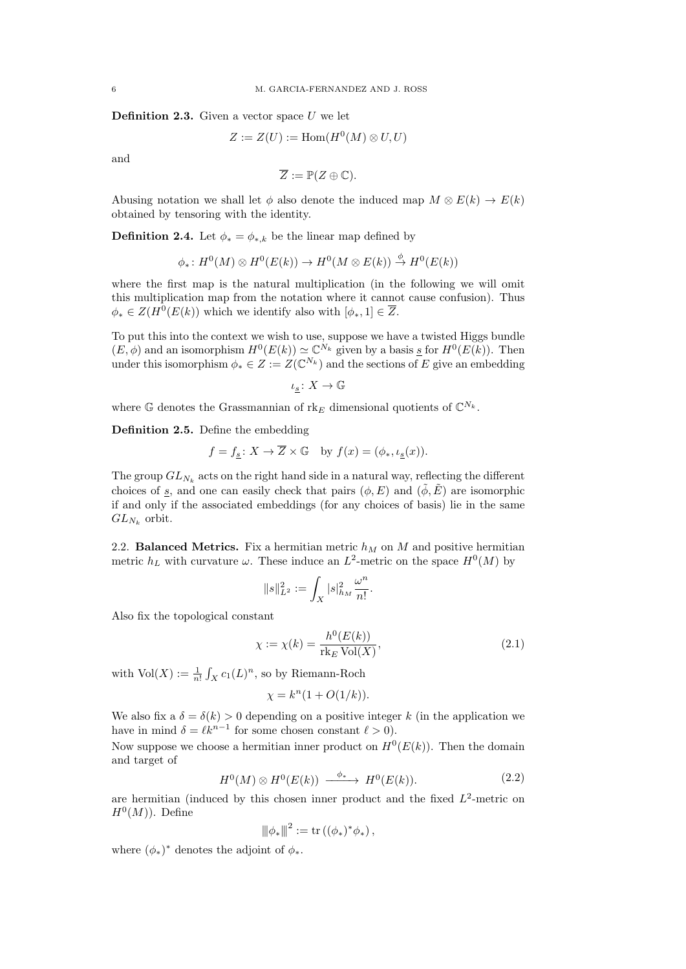<span id="page-5-1"></span>**Definition 2.3.** Given a vector space  $U$  we let

$$
Z := Z(U) := \text{Hom}(H^0(M) \otimes U, U)
$$

and

$$
\overline{Z} := \mathbb{P}(Z \oplus \mathbb{C}).
$$

Abusing notation we shall let  $\phi$  also denote the induced map  $M \otimes E(k) \to E(k)$ obtained by tensoring with the identity.

**Definition 2.4.** Let  $\phi_* = \phi_{*,k}$  be the linear map defined by

$$
\phi_*\colon H^0(M)\otimes H^0(E(k))\to H^0(M\otimes E(k))\stackrel{\phi}{\to} H^0(E(k))
$$

where the first map is the natural multiplication (in the following we will omit this multiplication map from the notation where it cannot cause confusion). Thus  $\phi_* \in Z(H^0(E(k))$  which we identify also with  $[\phi_*, 1] \in \overline{Z}$ .

To put this into the context we wish to use, suppose we have a twisted Higgs bundle  $(E, \phi)$  and an isomorphism  $H^0(E(k)) \simeq \mathbb{C}^{N_k}$  given by a basis  $\underline{s}$  for  $H^0(E(k))$ . Then under this isomorphism  $\phi_* \in Z := Z(\mathbb{C}^{N_k})$  and the sections of E give an embedding

$$
\iota_{\underline{s}}\colon X\to\mathbb{G}
$$

where G denotes the Grassmannian of  $\text{rk}_E$  dimensional quotients of  $\mathbb{C}^{N_k}$ .

Definition 2.5. Define the embedding

$$
f = f_s \colon X \to \overline{Z} \times \mathbb{G} \text{ by } f(x) = (\phi_*, \iota_s(x)).
$$

The group  $GL_{N_k}$  acts on the right hand side in a natural way, reflecting the different choices of <u>s</u>, and one can easily check that pairs  $(\phi, E)$  and  $(\tilde{\phi}, \tilde{E})$  are isomorphic if and only if the associated embeddings (for any choices of basis) lie in the same  $GL_{N_k}$  orbit.

<span id="page-5-0"></span>2.2. **Balanced Metrics.** Fix a hermitian metric  $h_M$  on M and positive hermitian metric  $h_L$  with curvature  $\omega$ . These induce an  $L^2$ -metric on the space  $H^0(M)$  by

$$
\|s\|_{L^2}^2:=\int_X |s|_{h_M}^2 \frac{\omega^n}{n!}.
$$

Also fix the topological constant

$$
\chi := \chi(k) = \frac{h^0(E(k))}{\text{rk}_E \text{Vol}(X)},
$$
\n(2.1)

with  $Vol(X) := \frac{1}{n!} \int_X c_1(L)^n$ , so by Riemann-Roch

$$
\chi = k^n (1 + O(1/k)).
$$

We also fix a  $\delta = \delta(k) > 0$  depending on a positive integer k (in the application we have in mind  $\delta = \ell k^{n-1}$  for some chosen constant  $\ell > 0$ .

Now suppose we choose a hermitian inner product on  $H^0(E(k))$ . Then the domain and target of

$$
H^{0}(M)\otimes H^{0}(E(k)) \xrightarrow{\phi_{*}} H^{0}(E(k)). \tag{2.2}
$$

are hermitian (induced by this chosen inner product and the fixed  $L^2$ -metric on  $H^0(M)$ ). Define

$$
{\|\phi_*\|^2} := \mathrm{tr}\left((\phi_*)^*\phi_*\right),
$$

where  $(\phi_*)^*$  denotes the adjoint of  $\phi_*$ .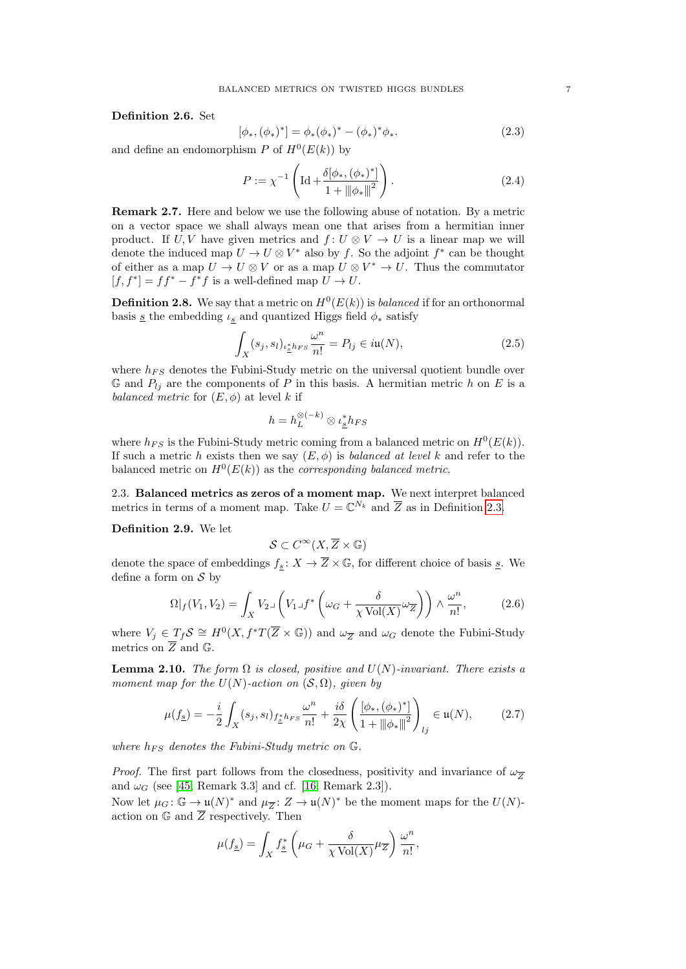Definition 2.6. Set

$$
[\phi_*, (\phi_*)^*] = \phi_*(\phi_*)^* - (\phi_*)^* \phi_*.
$$
\n(2.3)

and define an endomorphism P of  $H^0(E(k))$  by

<span id="page-6-4"></span>
$$
P := \chi^{-1} \left( \mathrm{Id} + \frac{\delta[\phi_*, (\phi_*)^*]}{1 + {\|\phi_*\|}^2} \right). \tag{2.4}
$$

Remark 2.7. Here and below we use the following abuse of notation. By a metric on a vector space we shall always mean one that arises from a hermitian inner product. If U, V have given metrics and  $f: U \otimes V \to U$  is a linear map we will denote the induced map  $U \to U \otimes V^*$  also by f. So the adjoint  $f^*$  can be thought of either as a map  $U \to U \otimes V$  or as a map  $U \otimes V^* \to U$ . Thus the commutator  $[f, f^*] = ff^* - f^*f$  is a well-defined map  $U \to U$ .

<span id="page-6-3"></span>**Definition 2.8.** We say that a metric on  $H^0(E(k))$  is *balanced* if for an orthonormal basis <u>s</u> the embedding  $\iota_s$  and quantized Higgs field  $\phi_*$  satisfy

$$
\int_{X} (s_j, s_l)_{\iota_{\underline{s}}^* h_{FS}} \frac{\omega^n}{n!} = P_{lj} \in i\mathfrak{u}(N),\tag{2.5}
$$

where  $h_{FS}$  denotes the Fubini-Study metric on the universal quotient bundle over G and  $P_{lj}$  are the components of P in this basis. A hermitian metric h on E is a balanced metric for  $(E, \phi)$  at level k if

$$
h = h_L^{\otimes (-k)} \otimes \iota_{\underline{s}}^* h_{FS}
$$

where  $h_{FS}$  is the Fubini-Study metric coming from a balanced metric on  $H^0(E(k))$ . If such a metric h exists then we say  $(E, \phi)$  is balanced at level k and refer to the balanced metric on  $H^0(E(k))$  as the corresponding balanced metric.

<span id="page-6-1"></span>2.3. Balanced metrics as zeros of a moment map. We next interpret balanced metrics in terms of a moment map. Take  $U = \mathbb{C}^{N_k}$  and  $\overline{Z}$  as in Definition [2.3.](#page-5-1)

Definition 2.9. We let

$$
\mathcal{S} \subset C^\infty(X, \overline{Z} \times \mathbb{G})
$$

denote the space of embeddings  $f_s: X \to \overline{Z} \times \mathbb{G}$ , for different choice of basis  $\underline{s}$ . We define a form on  $\mathcal S$  by

$$
\Omega|_f(V_1, V_2) = \int_X V_2 \lrcorner \left(V_1 \lrcorner f^* \left(\omega_G + \frac{\delta}{\chi \operatorname{Vol}(X)} \omega_{\overline{Z}}\right)\right) \wedge \frac{\omega^n}{n!},\tag{2.6}
$$

where  $V_j \in T_f \mathcal{S} \cong H^0(X, f^*T(\overline{Z} \times \mathbb{G}))$  and  $\omega_{\overline{Z}}$  and  $\omega_G$  denote the Fubini-Study metrics on  $\overline{Z}$  and  $\mathbb{G}$ .

<span id="page-6-0"></span>**Lemma 2.10.** The form  $\Omega$  is closed, positive and  $U(N)$ -invariant. There exists a moment map for the  $U(N)$ -action on  $(S, \Omega)$ , given by

<span id="page-6-2"></span>
$$
\mu(f_{\underline{s}}) = -\frac{i}{2} \int_X (s_j, s_l)_{f_{\underline{s}}^* h_{FS}} \frac{\omega^n}{n!} + \frac{i\delta}{2\chi} \left( \frac{[\phi_*, (\phi_*)^*]}{1 + {\|\phi_*\|}^2} \right)_{lj} \in \mathfrak{u}(N),\tag{2.7}
$$

where  $h_{FS}$  denotes the Fubini-Study metric on  $\mathbb{G}$ .

*Proof.* The first part follows from the closedness, positivity and invariance of  $\omega_{\overline{z}}$ and  $\omega_G$  (see [\[45,](#page-31-2) Remark 3.3] and cf. [\[16,](#page-30-24) Remark 2.3]).

Now let  $\mu_G \colon \mathbb{G} \to \mathfrak{u}(N)^*$  and  $\mu_{\overline{Z}} \colon Z \to \mathfrak{u}(N)^*$  be the moment maps for the  $U(N)$ action on  $\mathbb G$  and  $\overline Z$  respectively. Then

$$
\mu(f_{\underline{s}}) = \int_X f_{\underline{s}}^* \left( \mu_G + \frac{\delta}{\chi \operatorname{Vol}(X)} \mu_{\overline{Z}} \right) \frac{\omega^n}{n!},
$$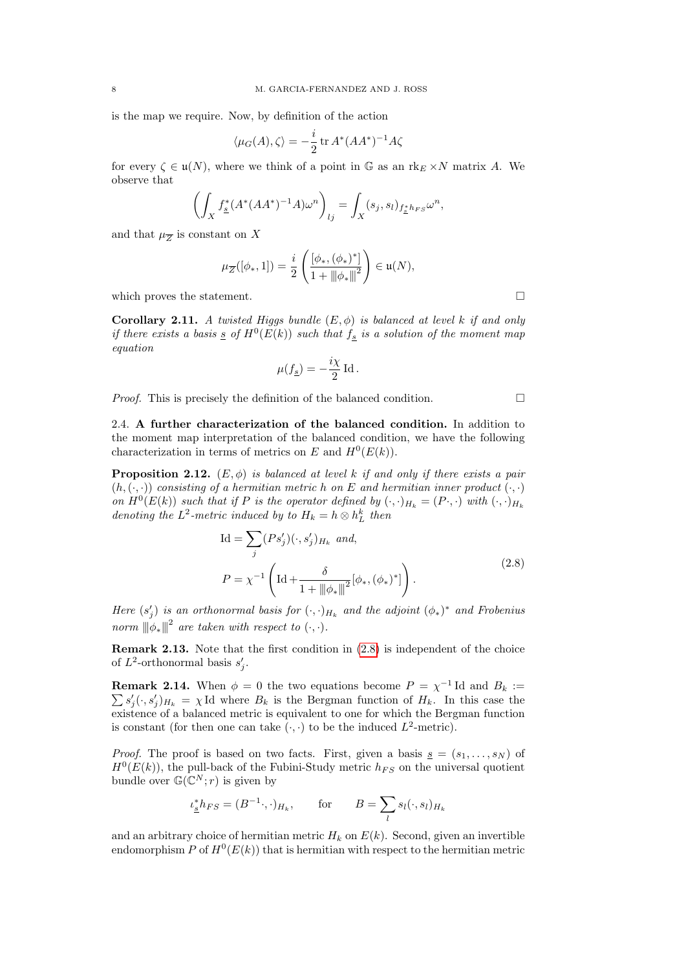is the map we require. Now, by definition of the action

$$
\langle \mu_G(A), \zeta \rangle = -\frac{i}{2} \operatorname{tr} A^*(AA^*)^{-1} A \zeta
$$

for every  $\zeta \in \mathfrak{u}(N)$ , where we think of a point in G as an rk<sub>E</sub>  $\times N$  matrix A. We observe that

$$
\left(\int_X f^*_{\underline{s}}(A^*(AA^*)^{-1}A)\omega^n\right)_{lj} = \int_X (s_j, s_l)_{f^*_{\underline{s}}h_{FS}}\omega^n,
$$

and that  $\mu_{\overline{Z}}$  is constant on X

$$
\mu_{\overline{Z}}([\phi_*,1]) = \frac{i}{2} \left( \frac{[\phi_*, (\phi_*)^*]}{1 + {\|\phi_*\|}^2} \right) \in \mathfrak{u}(N),
$$

which proves the statement.  $\Box$ 

<span id="page-7-1"></span>**Corollary 2.11.** A twisted Higgs bundle  $(E, \phi)$  is balanced at level k if and only if there exists a basis  $\underline{s}$  of  $H^0(E(k))$  such that  $f_{\underline{s}}$  is a solution of the moment map equation

$$
\mu(\underline{f_{\underline{s}}}) = -\frac{i\chi}{2} \operatorname{Id}.
$$

*Proof.* This is precisely the definition of the balanced condition.  $\Box$ 

2.4. A further characterization of the balanced condition. In addition to the moment map interpretation of the balanced condition, we have the following characterization in terms of metrics on E and  $H^0(E(k))$ .

<span id="page-7-2"></span>**Proposition 2.12.**  $(E, \phi)$  is balanced at level k if and only if there exists a pair  $(h, (\cdot, \cdot))$  consisting of a hermitian metric h on E and hermitian inner product  $(\cdot, \cdot)$ on  $H^0(E(k))$  such that if P is the operator defined by  $(\cdot, \cdot)_{H_k} = (P \cdot, \cdot)$  with  $(\cdot, \cdot)_{H_k}$ denoting the  $L^2$ -metric induced by to  $H_k = h \otimes h_L^k$  then

$$
Id = \sum_{j} (Ps'_{j})(\cdot, s'_{j})_{H_{k}} \text{ and,}
$$
  

$$
P = \chi^{-1} \left( Id + \frac{\delta}{1 + ||\phi_{*}||^{2}} [\phi_{*}, (\phi_{*})^{*}] \right).
$$
 (2.8)

<span id="page-7-0"></span>Here  $(s'_j)$  is an orthonormal basis for  $(\cdot, \cdot)_{H_k}$  and the adjoint  $(\phi_*)^*$  and Frobenius norm  $\|\phi_*\|^2$  are taken with respect to  $(\cdot, \cdot)$ .

Remark 2.13. Note that the first condition in [\(2.8\)](#page-7-0) is independent of the choice of  $L^2$ -orthonormal basis  $s'_j$ .

**Remark 2.14.** When  $\phi = 0$  the two equations become  $P = \chi^{-1}$  Id and  $B_k :=$  $\sum s_j'(\cdot, s_j')_{H_k} = \chi$ Id where  $B_k$  is the Bergman function of  $H_k$ . In this case the existence of a balanced metric is equivalent to one for which the Bergman function is constant (for then one can take  $(\cdot, \cdot)$  to be the induced  $L^2$ -metric).

*Proof.* The proof is based on two facts. First, given a basis  $\underline{s} = (s_1, \ldots, s_N)$  of  $H^0(E(k))$ , the pull-back of the Fubini-Study metric  $h_{FS}$  on the universal quotient bundle over  $\mathbb{G}(\mathbb{C}^N;r)$  is given by

$$
\iota_{\underline{s}}^* h_{FS} = (B^{-1} \cdot, \cdot)_{H_k}, \qquad \text{for} \qquad B = \sum_l s_l(\cdot, s_l)_{H_k}
$$

and an arbitrary choice of hermitian metric  $H_k$  on  $E(k)$ . Second, given an invertible endomorphism P of  $H^0(E(k))$  that is hermitian with respect to the hermitian metric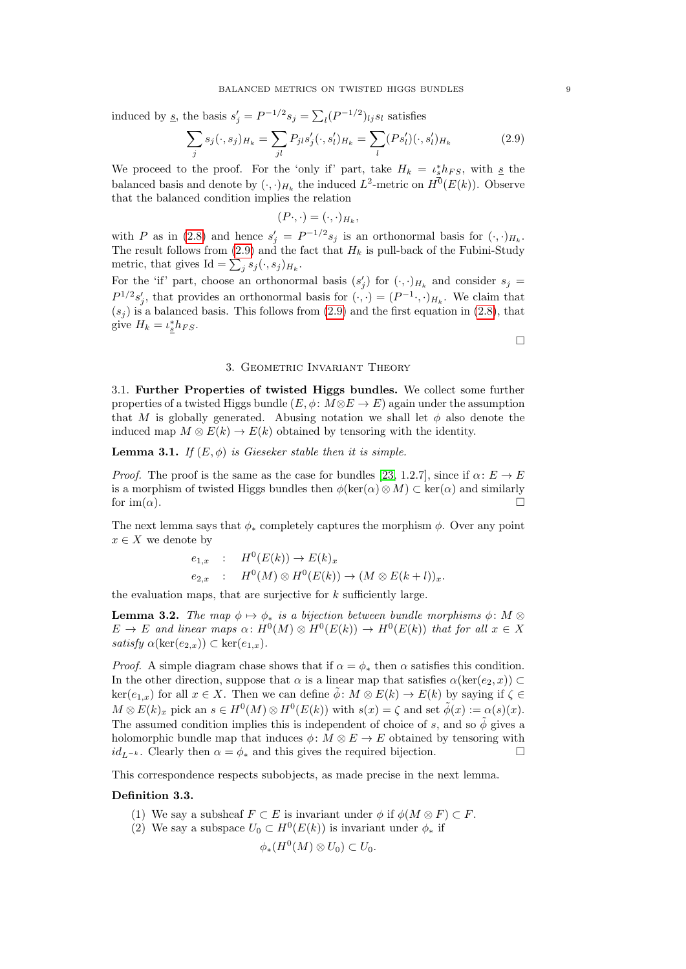induced by <u>s</u>, the basis  $s'_j = P^{-1/2} s_j = \sum_l (P^{-1/2})_{lj} s_l$  satisfies

<span id="page-8-1"></span>
$$
\sum_{j} s_j(\cdot, s_j)_{H_k} = \sum_{jl} P_{jl} s'_j(\cdot, s'_l)_{H_k} = \sum_{l} (P s'_l)(\cdot, s'_l)_{H_k}
$$
(2.9)

We proceed to the proof. For the 'only if' part, take  $H_k = \iota_s^* h_{FS}$ , with  $s$  the balanced basis and denote by  $(\cdot, \cdot)_{H_k}$  the induced  $L^2$ -metric on  $H^0(E(k))$ . Observe that the balanced condition implies the relation

$$
(P\cdot,\cdot)=(\cdot,\cdot)_{H_k},
$$

with P as in [\(2.8\)](#page-7-0) and hence  $s'_j = P^{-1/2} s_j$  is an orthonormal basis for  $(\cdot, \cdot)_{H_k}$ . The result follows from [\(2.9\)](#page-8-1) and the fact that  $H_k$  is pull-back of the Fubini-Study metric, that gives  $\text{Id} = \sum_j s_j(\cdot, s_j)_{H_k}$ .

For the 'if' part, choose an orthonormal basis  $(s'_j)$  for  $(\cdot, \cdot)_{H_k}$  and consider  $s_j =$  $P^{1/2}s'_{j}$ , that provides an orthonormal basis for  $(\cdot, \cdot) = (P^{-1} \cdot, \cdot)_{H_k}$ . We claim that  $(s<sub>i</sub>)$  is a balanced basis. This follows from [\(2.9\)](#page-8-1) and the first equation in [\(2.8\)](#page-7-0), that give  $H_k = \iota_s^* h_{FS}$ .

 $\Box$ 

### 3. Geometric Invariant Theory

<span id="page-8-0"></span>3.1. Further Properties of twisted Higgs bundles. We collect some further properties of a twisted Higgs bundle  $(E, \phi: M \otimes E \to E)$  again under the assumption that M is globally generated. Abusing notation we shall let  $\phi$  also denote the induced map  $M \otimes E(k) \to E(k)$  obtained by tensoring with the identity.

# **Lemma 3.1.** If  $(E, \phi)$  is Gieseker stable then it is simple.

*Proof.* The proof is the same as the case for bundles [\[23,](#page-30-22) 1.2.7], since if  $\alpha: E \to E$ is a morphism of twisted Higgs bundles then  $\phi(\ker(\alpha) \otimes M) \subset \ker(\alpha)$  and similarly for  $\text{im}(\alpha)$ .

The next lemma says that  $\phi_*$  completely captures the morphism  $\phi$ . Over any point  $x \in X$  we denote by

$$
e_{1,x} : H^0(E(k)) \to E(k)_x
$$
  
\n
$$
e_{2,x} : H^0(M) \otimes H^0(E(k)) \to (M \otimes E(k+l))_x.
$$

the evaluation maps, that are surjective for  $k$  sufficiently large.

**Lemma 3.2.** The map  $\phi \mapsto \phi_*$  is a bijection between bundle morphisms  $\phi: M \otimes$  $E \to E$  and linear maps  $\alpha: H^0(M) \otimes H^0(E(k)) \to H^0(E(k))$  that for all  $x \in X$ satisfy  $\alpha(\ker(e_{2,x})) \subset \ker(e_{1,x}).$ 

*Proof.* A simple diagram chase shows that if  $\alpha = \phi_*$  then  $\alpha$  satisfies this condition. In the other direction, suppose that  $\alpha$  is a linear map that satisfies  $\alpha(\ker(e_2, x)) \subset$  $\ker(e_{1,x})$  for all  $x \in X$ . Then we can define  $\phi: M \otimes E(k) \to E(k)$  by saying if  $\zeta \in$  $M \otimes E(k)_x$  pick an  $s \in H^0(M) \otimes H^0(E(k))$  with  $s(x) = \zeta$  and set  $\tilde{\phi}(x) := \alpha(s)(x)$ . The assumed condition implies this is independent of choice of s, and so  $\tilde{\phi}$  gives a holomorphic bundle map that induces  $\phi: M \otimes E \to E$  obtained by tensoring with  $id_{L^{-k}}$ . Clearly then  $\alpha = \phi_*$  and this gives the required bijection.

This correspondence respects subobjects, as made precise in the next lemma.

# Definition 3.3.

- (1) We say a subsheaf  $F \subset E$  is invariant under  $\phi$  if  $\phi(M \otimes F) \subset F$ .
- (2) We say a subspace  $U_0 \subset H^0(E(k))$  is invariant under  $\phi_*$  if

$$
\phi_*(H^0(M) \otimes U_0) \subset U_0.
$$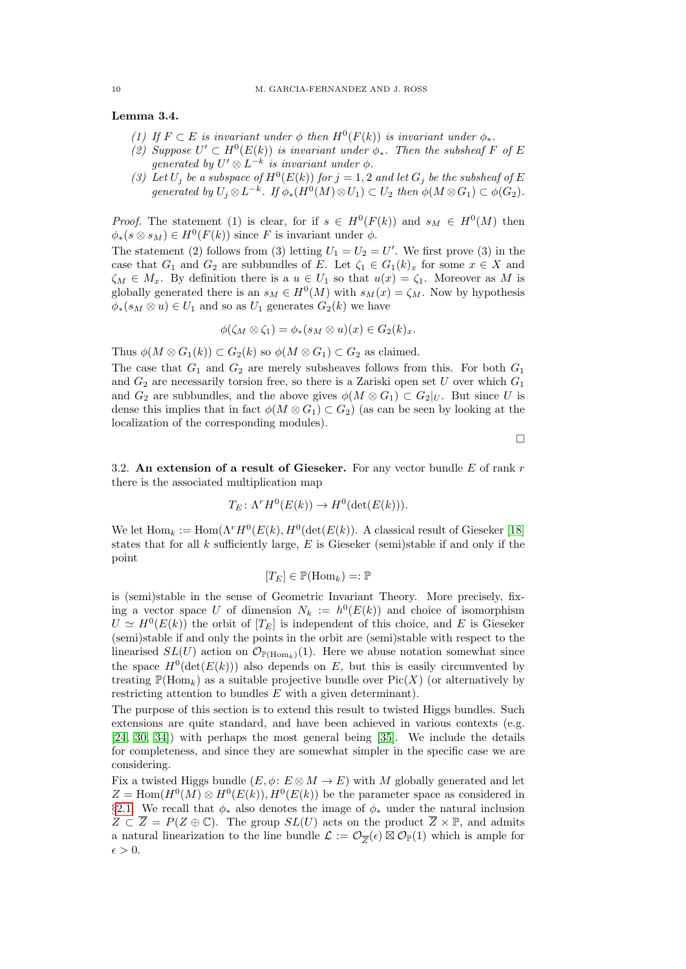### <span id="page-9-0"></span>Lemma 3.4.

- (1) If  $F \subset E$  is invariant under  $\phi$  then  $H^0(F(k))$  is invariant under  $\phi_*$ .
- (2) Suppose  $U' \subset H^0(E(k))$  is invariant under  $\phi_*$ . Then the subsheaf F of E generated by  $U' \otimes L^{-k}$  is invariant under  $\phi$ .
- (3) Let  $U_j$  be a subspace of  $H^0(E(k))$  for  $j = 1, 2$  and let  $G_j$  be the subsheaf of E generated by  $U_j \otimes L^{-k}$ . If  $\phi_*(H^0(M) \otimes U_1) \subset U_2$  then  $\phi(M \otimes G_1) \subset \phi(G_2)$ .

*Proof.* The statement (1) is clear, for if  $s \in H^0(F(k))$  and  $s_M \in H^0(M)$  then  $\phi_*(s \otimes s_M) \in H^0(F(k))$  since F is invariant under  $\phi$ .

The statement (2) follows from (3) letting  $U_1 = U_2 = U'$ . We first prove (3) in the case that  $G_1$  and  $G_2$  are subbundles of E. Let  $\zeta_1 \in G_1(k)_x$  for some  $x \in X$  and  $\zeta_M \in M_x$ . By definition there is a  $u \in U_1$  so that  $u(x) = \zeta_1$ . Moreover as M is globally generated there is an  $s_M \in H^0(M)$  with  $s_M(x) = \zeta_M$ . Now by hypothesis  $\phi_*(s_M \otimes u) \in U_1$  and so as  $U_1$  generates  $G_2(k)$  we have

$$
\phi(\zeta_M \otimes \zeta_1) = \phi_*(s_M \otimes u)(x) \in G_2(k)_x.
$$

Thus  $\phi(M \otimes G_1(k)) \subset G_2(k)$  so  $\phi(M \otimes G_1) \subset G_2$  as claimed.

The case that  $G_1$  and  $G_2$  are merely subsheaves follows from this. For both  $G_1$ and  $G_2$  are necessarily torsion free, so there is a Zariski open set U over which  $G_1$ and  $G_2$  are subbundles, and the above gives  $\phi(M \otimes G_1) \subset G_2|_U$ . But since U is dense this implies that in fact  $\phi(M \otimes G_1) \subset G_2$ ) (as can be seen by looking at the localization of the corresponding modules).

 $\Box$ 

3.2. An extension of a result of Gieseker. For any vector bundle  $E$  of rank  $r$ there is the associated multiplication map

$$
T_E \colon \Lambda^r H^0(E(k)) \to H^0(\det(E(k))).
$$

We let  $\text{Hom}_k := \text{Hom}(\Lambda^r H^0(E(k), H^0(\det(E(k))).$  A classical result of Gieseker [\[18\]](#page-30-7) states that for all  $k$  sufficiently large,  $E$  is Gieseker (semi)stable if and only if the point

$$
[T_E] \in \mathbb{P}(\mathrm{Hom}_k) =: \mathbb{P}
$$

is (semi)stable in the sense of Geometric Invariant Theory. More precisely, fixing a vector space U of dimension  $N_k := h^0(E(k))$  and choice of isomorphism  $U \simeq H^{0}(E(k))$  the orbit of  $[T_{E}]$  is independent of this choice, and E is Gieseker (semi)stable if and only the points in the orbit are (semi)stable with respect to the linearised  $SL(U)$  action on  $\mathcal{O}_{\mathbb{P}(\text{Hom}_k)}(1)$ . Here we abuse notation somewhat since the space  $H^0(\det(E(k)))$  also depends on E, but this is easily circumvented by treating  $\mathbb{P}(\text{Hom}_k)$  as a suitable projective bundle over  $Pic(X)$  (or alternatively by restricting attention to bundles E with a given determinant).

The purpose of this section is to extend this result to twisted Higgs bundles. Such extensions are quite standard, and have been achieved in various contexts (e.g. [\[24,](#page-30-25) [30,](#page-30-20) [34\]](#page-30-26)) with perhaps the most general being [\[35\]](#page-30-21). We include the details for completeness, and since they are somewhat simpler in the specific case we are considering.

Fix a twisted Higgs bundle  $(E, \phi: E \otimes M \to E)$  with M globally generated and let  $Z = \text{Hom}(H^0(M) \otimes H^0(E(k)), H^0(E(k))$  be the parameter space as considered in §[2.1.](#page-4-1) We recall that  $\phi_*$  also denotes the image of  $\phi_*$  under the natural inclusion  $Z \subset \overline{Z} = P(Z \oplus \mathbb{C})$ . The group  $SL(U)$  acts on the product  $Z \times \mathbb{P}$ , and admits a natural linearization to the line bundle  $\mathcal{L} := \mathcal{O}_{\overline{Z}}(\epsilon) \boxtimes \mathcal{O}_{\mathbb{P}}(1)$  which is ample for  $\epsilon > 0$ .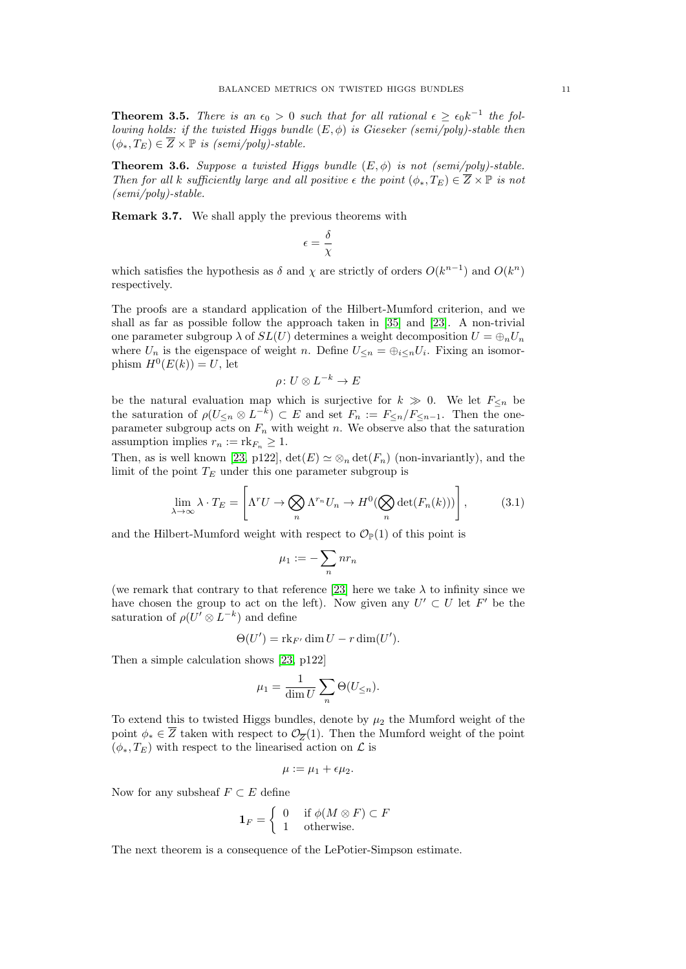<span id="page-10-0"></span>**Theorem 3.5.** There is an  $\epsilon_0 > 0$  such that for all rational  $\epsilon \geq \epsilon_0 k^{-1}$  the following holds: if the twisted Higgs bundle  $(E, \phi)$  is Gieseker (semi/poly)-stable then  $(\phi_*, T_E) \in \overline{Z} \times \mathbb{P}$  is (semi/poly)-stable.

<span id="page-10-1"></span>**Theorem 3.6.** Suppose a twisted Higgs bundle  $(E, \phi)$  is not (semi/poly)-stable. Then for all k sufficiently large and all positive  $\epsilon$  the point  $(\phi_*, T_E) \in \overline{Z} \times \mathbb{P}$  is not (semi/poly)-stable.

Remark 3.7. We shall apply the previous theorems with

$$
\epsilon = \frac{\delta}{\chi}
$$

which satisfies the hypothesis as  $\delta$  and  $\chi$  are strictly of orders  $O(k^{n-1})$  and  $O(k^n)$ respectively.

The proofs are a standard application of the Hilbert-Mumford criterion, and we shall as far as possible follow the approach taken in [\[35\]](#page-30-21) and [\[23\]](#page-30-22). A non-trivial one parameter subgroup  $\lambda$  of  $SL(U)$  determines a weight decomposition  $U = \bigoplus_n U_n$ where  $U_n$  is the eigenspace of weight n. Define  $U_{\leq n} = \bigoplus_{i \leq n} U_i$ . Fixing an isomorphism  $H^0(E(k)) = U$ , let

$$
\rho\colon U\otimes L^{-k}\to E
$$

be the natural evaluation map which is surjective for  $k \geq 0$ . We let  $F_{\leq n}$  be the saturation of  $\rho(U_{\leq n} \otimes L^{-k}) \subset E$  and set  $F_n := F_{\leq n}/F_{\leq n-1}$ . Then the oneparameter subgroup acts on  $F_n$  with weight n. We observe also that the saturation assumption implies  $r_n := \text{rk}_{F_n} \geq 1$ .

Then, as is well known [\[23,](#page-30-22) p122],  $\det(E) \simeq \otimes_n \det(F_n)$  (non-invariantly), and the limit of the point  $T_E$  under this one parameter subgroup is

$$
\lim_{\lambda \to \infty} \lambda \cdot T_E = \left[ \Lambda^r U \to \bigotimes_n \Lambda^{r_n} U_n \to H^0(\bigotimes_n \det(F_n(k))) \right],\tag{3.1}
$$

and the Hilbert-Mumford weight with respect to  $\mathcal{O}_{\mathbb{P}}(1)$  of this point is

$$
\mu_1:=-\sum_n nr_n
$$

(we remark that contrary to that reference [\[23\]](#page-30-22) here we take  $\lambda$  to infinity since we have chosen the group to act on the left). Now given any  $U' \subset U$  let  $F'$  be the saturation of  $\rho(U' \otimes L^{-k})$  and define

$$
\Theta(U') = \mathrm{rk}_{F'} \dim U - r \dim(U').
$$

Then a simple calculation shows [\[23,](#page-30-22) p122]

$$
\mu_1 = \frac{1}{\dim U} \sum_n \Theta(U_{\leq n}).
$$

To extend this to twisted Higgs bundles, denote by  $\mu_2$  the Mumford weight of the point  $\phi_* \in \overline{Z}$  taken with respect to  $\mathcal{O}_{\overline{Z}}(1)$ . Then the Mumford weight of the point  $(\phi_*, T_E)$  with respect to the linearised action on  $\mathcal L$  is

$$
\mu := \mu_1 + \epsilon \mu_2.
$$

Now for any subsheaf  $F \subset E$  define

$$
\mathbf{1}_F = \begin{cases} 0 & \text{if } \phi(M \otimes F) \subset F \\ 1 & \text{otherwise.} \end{cases}
$$

The next theorem is a consequence of the LePotier-Simpson estimate.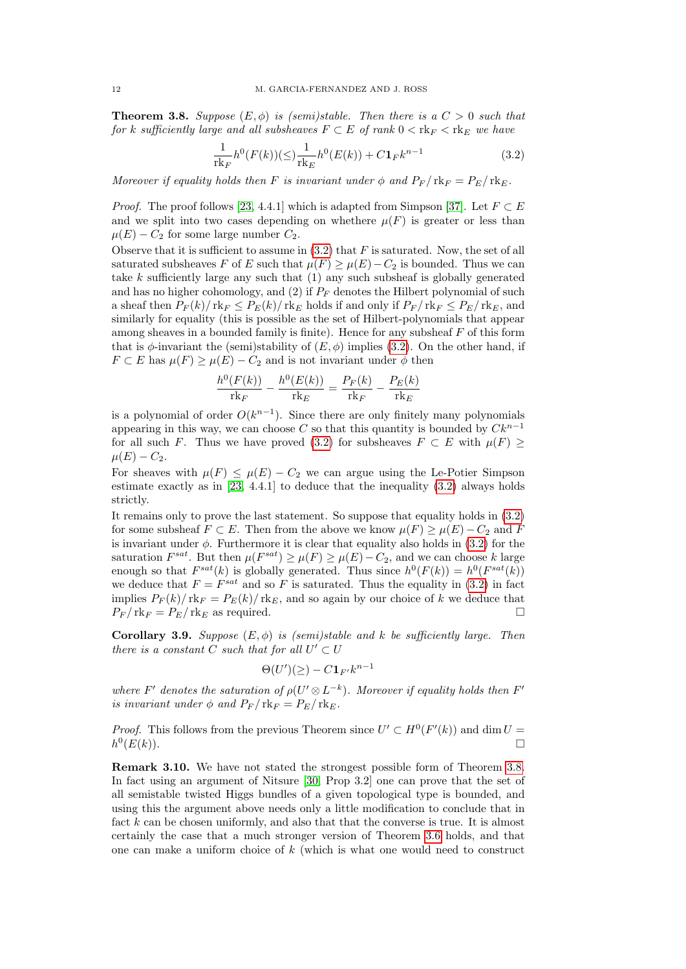<span id="page-11-1"></span>**Theorem 3.8.** Suppose  $(E, \phi)$  is (semi)stable. Then there is a  $C > 0$  such that for k sufficiently large and all subsheaves  $F \subset E$  of rank  $0 < \text{rk}_F < \text{rk}_E$  we have

<span id="page-11-0"></span>
$$
\frac{1}{\text{rk}_F}h^0(F(k))(\leq \frac{1}{\text{rk}_E}h^0(E(k)) + C\mathbf{1}_F k^{n-1}
$$
\n(3.2)

Moreover if equality holds then F is invariant under  $\phi$  and  $P_F / \text{rk}_F = P_E / \text{rk}_E$ .

*Proof.* The proof follows [\[23,](#page-30-22) 4.4.1] which is adapted from Simpson [\[37\]](#page-30-27). Let  $F \subset E$ and we split into two cases depending on whethere  $\mu(F)$  is greater or less than  $\mu(E) - C_2$  for some large number  $C_2$ .

Observe that it is sufficient to assume in  $(3.2)$  that F is saturated. Now, the set of all saturated subsheaves F of E such that  $\mu(F) \geq \mu(E) - C_2$  is bounded. Thus we can take k sufficiently large any such that  $(1)$  any such subsheaf is globally generated and has no higher cohomology, and  $(2)$  if  $P_F$  denotes the Hilbert polynomial of such a sheaf then  $P_F(k)/r$  rk $_F \leq P_E(k)/r$  kg holds if and only if  $P_F/r$  rk $_F \leq P_E/r$  kg, and similarly for equality (this is possible as the set of Hilbert-polynomials that appear among sheaves in a bounded family is finite). Hence for any subsheaf  $F$  of this form that is  $\phi$ -invariant the (semi)stability of  $(E, \phi)$  implies [\(3.2\)](#page-11-0). On the other hand, if  $F \subset E$  has  $\mu(F) \ge \mu(E) - C_2$  and is not invariant under  $\phi$  then

$$
\frac{h^0(F(k))}{\text{rk}_F} - \frac{h^0(E(k))}{\text{rk}_E} = \frac{P_F(k)}{\text{rk}_F} - \frac{P_E(k)}{\text{rk}_E}
$$

is a polynomial of order  $O(k^{n-1})$ . Since there are only finitely many polynomials appearing in this way, we can choose C so that this quantity is bounded by  $Ck^{n-1}$ for all such F. Thus we have proved [\(3.2\)](#page-11-0) for subsheaves  $F \subset E$  with  $\mu(F) \ge$  $\mu(E) - C_2.$ 

For sheaves with  $\mu(F) \leq \mu(E) - C_2$  we can argue using the Le-Potier Simpson estimate exactly as in  $[23, 4.4.1]$  $[23, 4.4.1]$  to deduce that the inequality  $(3.2)$  always holds strictly.

It remains only to prove the last statement. So suppose that equality holds in [\(3.2\)](#page-11-0) for some subsheaf  $F \subset E$ . Then from the above we know  $\mu(F) \ge \mu(E) - C_2$  and F is invariant under  $\phi$ . Furthermore it is clear that equality also holds in  $(3.2)$  for the saturation  $F^{sat}$ . But then  $\mu(F^{sat}) \ge \mu(F) \ge \mu(E) - C_2$ , and we can choose k large enough so that  $F^{sat}(k)$  is globally generated. Thus since  $h^0(F(k)) = h^0(F^{sat}(k))$ we deduce that  $F = F^{sat}$  and so F is saturated. Thus the equality in [\(3.2\)](#page-11-0) in fact implies  $P_F(k)/r$ k $_F = P_E(k)/r$ k $_E$ , and so again by our choice of k we deduce that  $P_F / \text{rk}_F = P_E / \text{rk}_E$  as required.

<span id="page-11-2"></span>Corollary 3.9. Suppose  $(E, \phi)$  is (semi)stable and k be sufficiently large. Then there is a constant C such that for all  $U' \subset U$ 

$$
\Theta(U')(\geq) - C \mathbf{1}_{F'} k^{n-1}
$$

where F' denotes the saturation of  $\rho(U' \otimes L^{-k})$ . Moreover if equality holds then F' is invariant under  $\phi$  and  $P_F / \text{rk}_F = P_E / \text{rk}_E$ .

*Proof.* This follows from the previous Theorem since  $U' \subset H^0(F'(k))$  and dim  $U =$  $h^0$  $(E(k)).$ 

Remark 3.10. We have not stated the strongest possible form of Theorem [3.8.](#page-11-1) In fact using an argument of Nitsure [\[30,](#page-30-20) Prop 3.2] one can prove that the set of all semistable twisted Higgs bundles of a given topological type is bounded, and using this the argument above needs only a little modification to conclude that in fact  $k$  can be chosen uniformly, and also that that the converse is true. It is almost certainly the case that a much stronger version of Theorem [3.6](#page-10-1) holds, and that one can make a uniform choice of  $k$  (which is what one would need to construct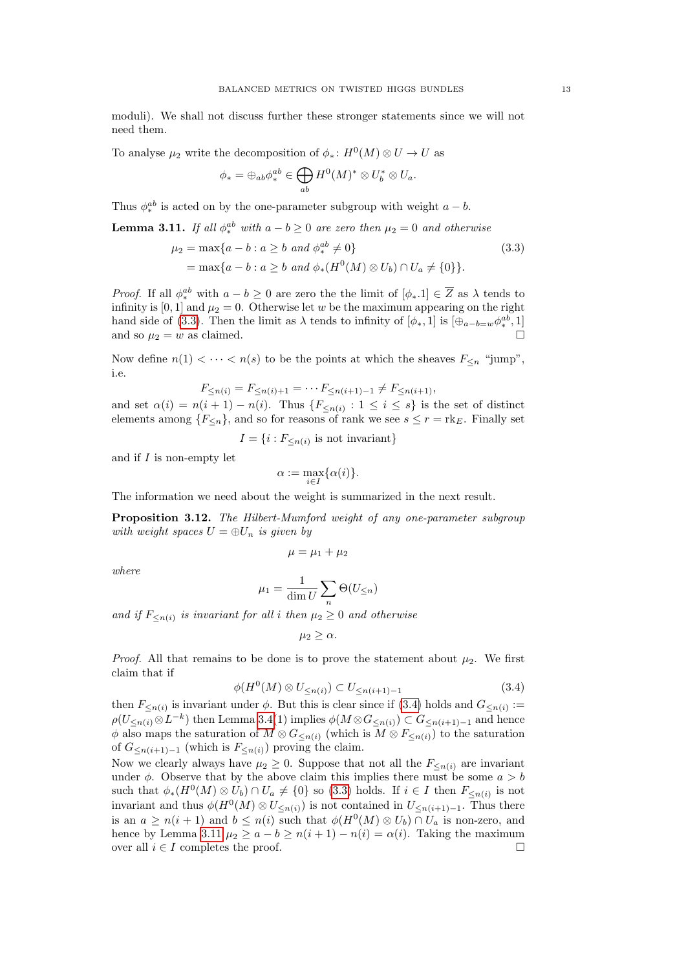moduli). We shall not discuss further these stronger statements since we will not need them.

To analyse  $\mu_2$  write the decomposition of  $\phi_* : H^0(M) \otimes U \to U$  as

<span id="page-12-0"></span>
$$
\phi_* = \oplus_{ab} \phi_*^{ab} \in \bigoplus_{ab} H^0(M)^* \otimes U_b^* \otimes U_a.
$$

Thus  $\phi_*^{ab}$  is acted on by the one-parameter subgroup with weight  $a - b$ .

<span id="page-12-2"></span>**Lemma 3.11.** If all  $\phi_*^{ab}$  with  $a - b \geq 0$  are zero then  $\mu_2 = 0$  and otherwise

$$
\mu_2 = \max\{a - b : a \ge b \text{ and } \phi_*^{ab} \neq 0\}
$$
  
=  $\max\{a - b : a \ge b \text{ and } \phi_*(H^0(M) \otimes U_b) \cap U_a \neq \{0\}\}.$  (3.3)

*Proof.* If all  $\phi_*^{ab}$  with  $a - b \geq 0$  are zero the the limit of  $[\phi_*.1] \in \overline{Z}$  as  $\lambda$  tends to infinity is [0, 1] and  $\mu_2 = 0$ . Otherwise let w be the maximum appearing on the right hand side of [\(3.3\)](#page-12-0). Then the limit as  $\lambda$  tends to infinity of  $[\phi_*, 1]$  is  $[\oplus_{a-b=w} \phi_*^{ab}, 1]$ and so  $\mu_2 = w$  as claimed.

Now define  $n(1) < \cdots < n(s)$  to be the points at which the sheaves  $F_{\leq n}$  "jump", i.e.

$$
F_{\leq n(i)} = F_{\leq n(i)+1} = \cdots F_{\leq n(i+1)-1} \neq F_{\leq n(i+1)},
$$

and set  $\alpha(i) = n(i+1) - n(i)$ . Thus  $\{F_{\leq n(i)} : 1 \leq i \leq s\}$  is the set of distinct elements among  ${F<sub>n</sub>}$ , and so for reasons of rank we see  $s \leq r = \text{rk}_E$ . Finally set

$$
I = \{i : F_{\leq n(i)} \text{ is not invariant}\}
$$

and if  $I$  is non-empty let

$$
\alpha:=\max_{i\in I}\{\alpha(i)\}.
$$

The information we need about the weight is summarized in the next result.

<span id="page-12-3"></span>Proposition 3.12. The Hilbert-Mumford weight of any one-parameter subgroup with weight spaces  $U = \bigoplus U_n$  is given by

$$
\mu = \mu_1 + \mu_2
$$

where

$$
\mu_1 = \frac{1}{\dim U} \sum_n \Theta(U_{\leq n})
$$

and if  $F_{\leq n(i)}$  is invariant for all i then  $\mu_2 \geq 0$  and otherwise

$$
\mu_2 \geq \alpha.
$$

*Proof.* All that remains to be done is to prove the statement about  $\mu_2$ . We first claim that if

<span id="page-12-1"></span>
$$
\phi(H^0(M) \otimes U_{\leq n(i)}) \subset U_{\leq n(i+1)-1} \tag{3.4}
$$

then  $F_{\leq n(i)}$  is invariant under  $\phi$ . But this is clear since if [\(3.4\)](#page-12-1) holds and  $G_{\leq n(i)}$ :=  $\rho(U_{\leq n(i)} \otimes L^{-k})$  then Lemma [3.4\(](#page-9-0)1) implies  $\phi(M \otimes G_{\leq n(i)}) \subset G_{\leq n(i+1)-1}$  and hence  $\phi$  also maps the saturation of  $M \otimes G_{\leq n(i)}$  (which is  $M \otimes F_{\leq n(i)}$ ) to the saturation of  $G_{\leq n(i+1)-1}$  (which is  $F_{\leq n(i)}$ ) proving the claim.

Now we clearly always have  $\mu_2 \geq 0$ . Suppose that not all the  $F_{\leq n(i)}$  are invariant under  $\phi$ . Observe that by the above claim this implies there must be some  $a > b$ such that  $\phi_*(H^0(M) \otimes U_b) \cap U_a \neq \{0\}$  so [\(3.3\)](#page-12-0) holds. If  $i \in I$  then  $F_{\leq n(i)}$  is not invariant and thus  $\phi(H^0(M) \otimes U_{\leq n(i)})$  is not contained in  $U_{\leq n(i+1)-1}$ . Thus there is an  $a \geq n(i+1)$  and  $b \leq n(i)$  such that  $\phi(H^0(M) \otimes U_b) \cap U_a$  is non-zero, and hence by Lemma [3.11](#page-12-2)  $\mu_2 \ge a - b \ge n(i + 1) - n(i) = \alpha(i)$ . Taking the maximum over all  $i \in I$  completes the proof.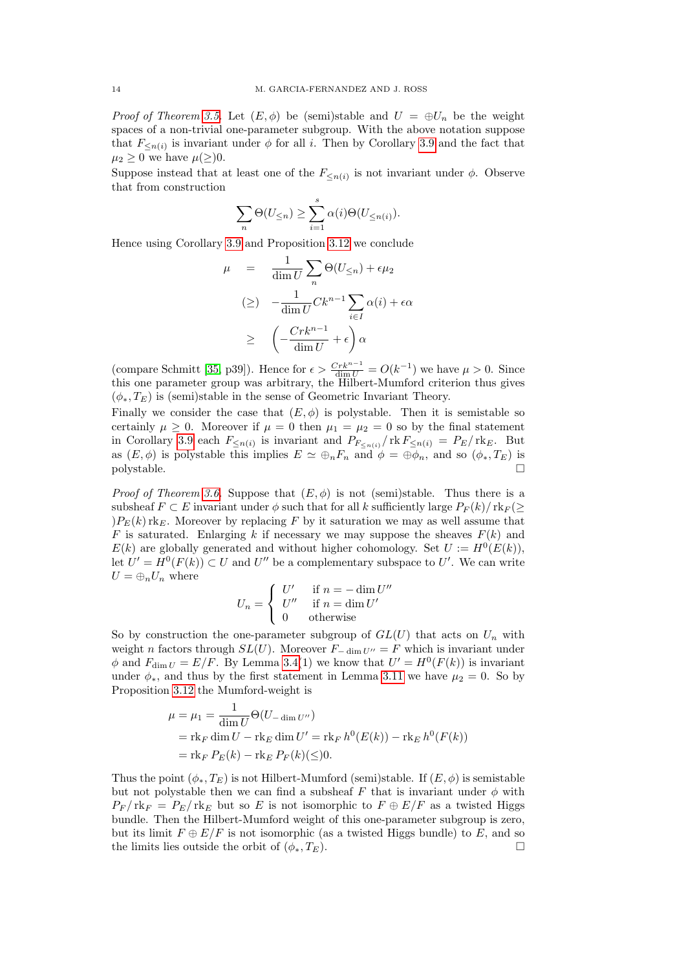*Proof of Theorem [3.5.](#page-10-0)* Let  $(E, \phi)$  be (semi)stable and  $U = \bigoplus U_n$  be the weight spaces of a non-trivial one-parameter subgroup. With the above notation suppose that  $F_{\leq n(i)}$  is invariant under  $\phi$  for all i. Then by Corollary [3.9](#page-11-2) and the fact that  $\mu_2 \geq 0$  we have  $\mu(\geq)0$ .

Suppose instead that at least one of the  $F_{\leq n(i)}$  is not invariant under  $\phi$ . Observe that from construction

$$
\sum_{n} \Theta(U_{\leq n}) \geq \sum_{i=1}^{s} \alpha(i) \Theta(U_{\leq n(i)}).
$$

Hence using Corollary [3.9](#page-11-2) and Proposition [3.12](#page-12-3) we conclude

$$
\mu = \frac{1}{\dim U} \sum_{n} \Theta(U_{\le n}) + \epsilon \mu_2
$$
  
\n
$$
\left(\ge\right) - \frac{1}{\dim U} C k^{n-1} \sum_{i \in I} \alpha(i) + \epsilon \alpha
$$
  
\n
$$
\ge \left( -\frac{C r k^{n-1}}{\dim U} + \epsilon \right) \alpha
$$

(compare Schmitt [\[35,](#page-30-21) p39]). Hence for  $\epsilon > \frac{Crk^{n-1}}{\dim U} = O(k^{-1})$  we have  $\mu > 0$ . Since this one parameter group was arbitrary, the Hilbert-Mumford criterion thus gives  $(\phi_*, T_E)$  is (semi)stable in the sense of Geometric Invariant Theory.

Finally we consider the case that  $(E, \phi)$  is polystable. Then it is semistable so certainly  $\mu \geq 0$ . Moreover if  $\mu = 0$  then  $\mu_1 = \mu_2 = 0$  so by the final statement in Corollary [3.9](#page-11-2) each  $F_{\leq n(i)}$  is invariant and  $P_{F_{\leq n(i)}}/\text{rk}\, F_{\leq n(i)} = P_E/\text{rk}_E$ . But as  $(E, \phi)$  is polystable this implies  $E \simeq \bigoplus_n F_n$  and  $\phi = \bigoplus \phi_n$ , and so  $(\phi_*, T_E)$  is polystable.

*Proof of Theorem [3.6.](#page-10-1)* Suppose that  $(E, \phi)$  is not (semi)stable. Thus there is a subsheaf  $F \subset E$  invariant under  $\phi$  such that for all k sufficiently large  $P_F(k)/\text{rk}_F(\geq)$  $)P_{E}(k)$  rk<sub>E</sub>. Moreover by replacing F by it saturation we may as well assume that  $F$  is saturated. Enlarging k if necessary we may suppose the sheaves  $F(k)$  and  $E(k)$  are globally generated and without higher cohomology. Set  $U := H^0(E(k)),$ let  $U' = H^0(F(k)) \subset U$  and  $U''$  be a complementary subspace to U'. We can write  $U = \bigoplus_n U_n$  where

$$
U_n = \begin{cases} U' & \text{if } n = -\dim U''\\ U'' & \text{if } n = \dim U'\\ 0 & \text{otherwise} \end{cases}
$$

So by construction the one-parameter subgroup of  $GL(U)$  that acts on  $U_n$  with weight n factors through  $SL(U)$ . Moreover  $F_{-\dim U''} = F$  which is invariant under  $\phi$  and  $F_{\dim U} = E/F$ . By Lemma [3.4\(](#page-9-0)1) we know that  $U' = H^0(F(k))$  is invariant under  $\phi_*$ , and thus by the first statement in Lemma [3.11](#page-12-2) we have  $\mu_2 = 0$ . So by Proposition [3.12](#page-12-3) the Mumford-weight is

$$
\mu = \mu_1 = \frac{1}{\dim U} \Theta(U_{-\dim U''})
$$
  
= rk<sub>F</sub> dim *U* - rk<sub>E</sub> dim *U'* = rk<sub>F</sub> h<sup>0</sup>(E(k)) - rk<sub>E</sub> h<sup>0</sup>(F(k))  
= rk<sub>F</sub> P<sub>E</sub>(k) - rk<sub>E</sub> P<sub>F</sub>(k)(≤)0.

Thus the point  $(\phi_*, T_E)$  is not Hilbert-Mumford (semi)stable. If  $(E, \phi)$  is semistable but not polystable then we can find a subsheaf F that is invariant under  $\phi$  with  $P_F / \text{rk}_F = P_E / \text{rk}_E$  but so E is not isomorphic to  $F \oplus E/F$  as a twisted Higgs bundle. Then the Hilbert-Mumford weight of this one-parameter subgroup is zero, but its limit  $F \oplus E/F$  is not isomorphic (as a twisted Higgs bundle) to E, and so the limits lies outside the orbit of  $(\phi_*, T_E)$ .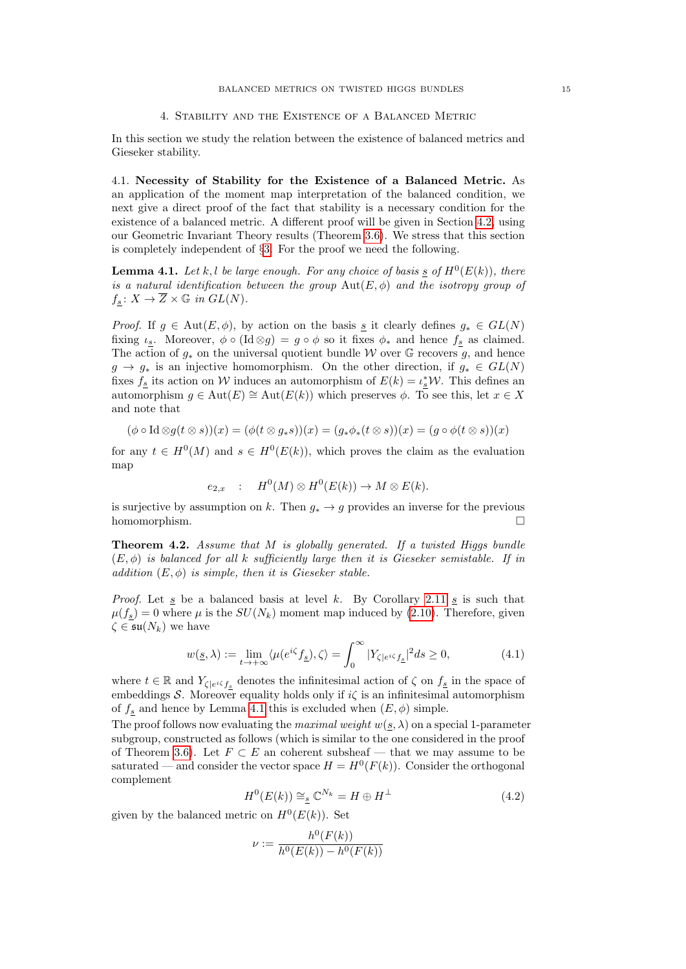## 4. Stability and the Existence of a Balanced Metric

<span id="page-14-0"></span>In this section we study the relation between the existence of balanced metrics and Gieseker stability.

4.1. Necessity of Stability for the Existence of a Balanced Metric. As an application of the moment map interpretation of the balanced condition, we next give a direct proof of the fact that stability is a necessary condition for the existence of a balanced metric. A different proof will be given in Section [4.2,](#page-16-0) using our Geometric Invariant Theory results (Theorem [3.6\)](#page-10-1). We stress that this section is completely independent of §[3.](#page-8-0) For the proof we need the following.

<span id="page-14-1"></span>**Lemma 4.1.** Let k, l be large enough. For any choice of basis  $\underline{s}$  of  $H^0(E(k))$ , there is a natural identification between the group  $Aut(E, \phi)$  and the isotropy group of  $f_s: X \to \overline{Z} \times \mathbb{G}$  in  $GL(N)$ .

*Proof.* If  $g \in Aut(E, \phi)$ , by action on the basis <u>s</u> it clearly defines  $g_* \in GL(N)$ fixing  $\iota_s$ . Moreover,  $\phi \circ (\text{Id} \otimes g) = g \circ \phi$  so it fixes  $\phi_*$  and hence  $f_s$  as claimed. The action of  $g_*$  on the universal quotient bundle W over G recovers g, and hence  $g \to g_*$  is an injective homomorphism. On the other direction, if  $g_* \in GL(N)$ fixes  $f_{\underline{s}}$  its action on W induces an automorphism of  $E(k) = \iota_{\underline{s}}^* \mathcal{W}$ . This defines an automorphism  $g \in \text{Aut}(E) \cong \text{Aut}(E(k))$  which preserves  $\phi$ . To see this, let  $x \in X$ and note that

$$
(\phi \circ \mathrm{Id} \otimes g(t \otimes s))(x) = (\phi(t \otimes g_*s))(x) = (g_*\phi_*(t \otimes s))(x) = (g \circ \phi(t \otimes s))(x)
$$

for any  $t \in H^0(M)$  and  $s \in H^0(E(k))$ , which proves the claim as the evaluation map

$$
e_{2,x} : H^0(M) \otimes H^0(E(k)) \to M \otimes E(k).
$$

is surjective by assumption on k. Then  $g_* \to g$  provides an inverse for the previous homomorphism.  $\square$ 

**Theorem 4.2.** Assume that  $M$  is globally generated. If a twisted Higgs bundle  $(E, \phi)$  is balanced for all k sufficiently large then it is Gieseker semistable. If in addition  $(E, \phi)$  is simple, then it is Gieseker stable.

*Proof.* Let  $\leq$  be a balanced basis at level k. By Corollary [2.11](#page-7-1)  $\leq$  is such that  $\mu(f_s) = 0$  where  $\mu$  is the  $SU(N_k)$  moment map induced by [\(2.10\)](#page-6-0). Therefore, given  $\zeta \in \mathfrak{su}(N_k)$  we have

<span id="page-14-3"></span>
$$
w(\underline{s}, \lambda) := \lim_{t \to +\infty} \langle \mu(e^{i\zeta} f_{\underline{s}}), \zeta \rangle = \int_0^\infty |Y_{\zeta|e^{i\zeta} f_{\underline{s}}}|^2 ds \ge 0, \tag{4.1}
$$

where  $t \in \mathbb{R}$  and  $Y_{\zeta|e^{i\zeta}f_{\zeta}}$  denotes the infinitesimal action of  $\zeta$  on  $f_{\zeta}$  in the space of embeddings S. Moreover equality holds only if  $i\zeta$  is an infinitesimal automorphism of  $f_s$  and hence by Lemma [4.1](#page-14-1) this is excluded when  $(E, \phi)$  simple.

The proof follows now evaluating the *maximal weight*  $w(s, \lambda)$  on a special 1-parameter subgroup, constructed as follows (which is similar to the one considered in the proof of Theorem [3.6\)](#page-10-1). Let  $F \subset E$  an coherent subsheaf — that we may assume to be saturated — and consider the vector space  $H = H^0(F(k))$ . Consider the orthogonal complement

<span id="page-14-2"></span>
$$
H^0(E(k)) \cong_{\underline{s}} \mathbb{C}^{N_k} = H \oplus H^{\perp}
$$
\n(4.2)

given by the balanced metric on  $H^0(E(k))$ . Set

$$
\nu := \frac{h^0(F(k))}{h^0(E(k)) - h^0(F(k))}
$$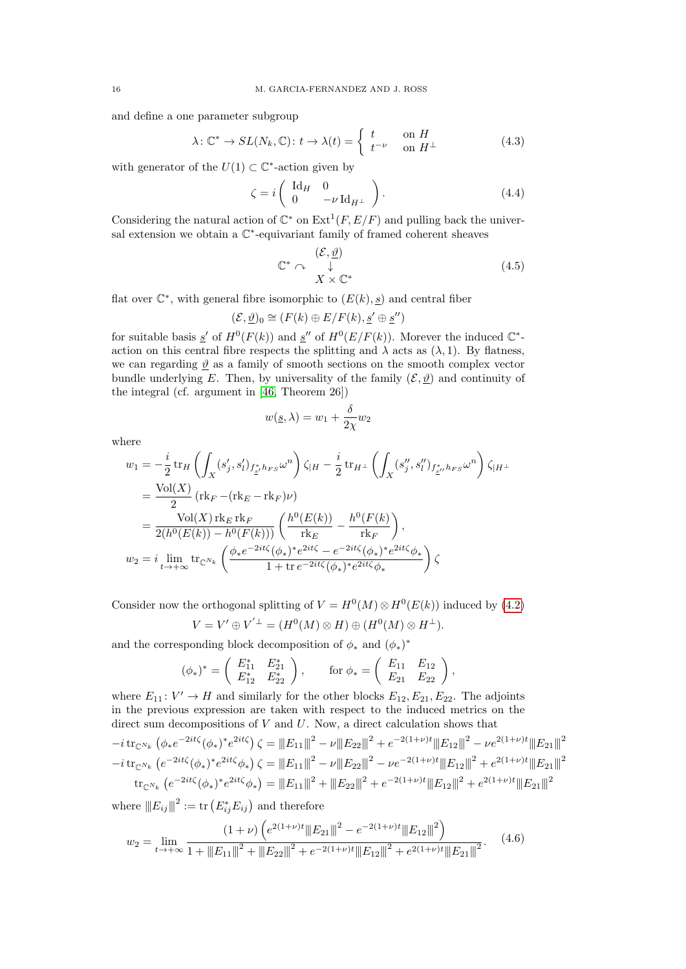and define a one parameter subgroup

$$
\lambda \colon \mathbb{C}^* \to SL(N_k, \mathbb{C}) \colon t \to \lambda(t) = \begin{cases} t & \text{on } H \\ t^{-\nu} & \text{on } H^\perp \end{cases}
$$
 (4.3)

with generator of the  $U(1) \subset \mathbb{C}^*$ -action given by

$$
\zeta = i \begin{pmatrix} \mathrm{Id}_H & 0 \\ 0 & -\nu \mathrm{Id}_{H^\perp} \end{pmatrix} . \tag{4.4}
$$

Considering the natural action of  $\mathbb{C}^*$  on  $\mathrm{Ext}^1(F, E/F)$  and pulling back the universal extension we obtain a  $\mathbb{C}^*$ -equivariant family of framed coherent sheaves

$$
\mathbb{C}^* \curvearrowright \bigoplus_{X \times \mathbb{C}^*} (\mathcal{E}, \underline{\vartheta}) \tag{4.5}
$$

flat over  $\mathbb{C}^*$ , with general fibre isomorphic to  $(E(k), \underline{s})$  and central fiber

$$
(\mathcal{E},\underline{\vartheta})_0 \cong (F(k) \oplus E/F(k),\underline{s}' \oplus \underline{s}'')
$$

for suitable basis  $\underline{s}'$  of  $H^0(F(k))$  and  $\underline{s}''$  of  $H^0(E/F(k))$ . Morever the induced  $\mathbb{C}^*$ action on this central fibre respects the splitting and  $\lambda$  acts as  $(\lambda, 1)$ . By flatness, we can regarding  $\vartheta$  as a family of smooth sections on the smooth complex vector bundle underlying E. Then, by universality of the family  $(\mathcal{E}, \underline{\vartheta})$  and continuity of the integral (cf. argument in [\[46,](#page-31-10) Theorem 26])

$$
w(\underline{s}, \lambda) = w_1 + \frac{\delta}{2\chi} w_2
$$

where

$$
w_1 = -\frac{i}{2} \operatorname{tr}_H \left( \int_X (s'_j, s'_l)_{f^*_{\underline{s}'} h_{FS}} \omega^n \right) \zeta_{|H} - \frac{i}{2} \operatorname{tr}_{H^\perp} \left( \int_X (s''_j, s''_l)_{f^*_{\underline{s}''}} h_{FS} \omega^n \right) \zeta_{|H^\perp}
$$
  
\n
$$
= \frac{\operatorname{Vol}(X)}{2} \left( \operatorname{rk}_F - (\operatorname{rk}_E - \operatorname{rk}_F) \nu \right)
$$
  
\n
$$
= \frac{\operatorname{Vol}(X) \operatorname{rk}_E \operatorname{rk}_F}{2(h^0(E(k)) - h^0(F(k)))} \left( \frac{h^0(E(k))}{\operatorname{rk}_E} - \frac{h^0(F(k)}{\operatorname{rk}_F} \right),
$$
  
\n
$$
w_2 = i \lim_{t \to +\infty} \operatorname{tr}_{\mathbb{C}^{N_k}} \left( \frac{\phi_* e^{-2it\zeta}(\phi_*)^* e^{2it\zeta} - e^{-2it\zeta}(\phi_*)^* e^{2it\zeta} \phi_*}{1 + \operatorname{tr} e^{-2it\zeta}(\phi_*)^* e^{2it\zeta} \phi_*} \right) \zeta
$$

Consider now the orthogonal splitting of  $V = H^0(M) \otimes H^0(E(k))$  induced by [\(4.2\)](#page-14-2)

$$
V = V' \oplus V^{'\perp} = (H^0(M) \otimes H) \oplus (H^0(M) \otimes H^{\perp}).
$$

and the corresponding block decomposition of  $\phi_*$  and  $(\phi_*)^*$ 

$$
(\phi_*)^* = \left( \begin{array}{cc} E_{11}^* & E_{21}^* \\ E_{12}^* & E_{22}^* \end{array} \right), \quad \text{for } \phi_* = \left( \begin{array}{cc} E_{11} & E_{12} \\ E_{21} & E_{22} \end{array} \right),
$$

where  $E_{11}$ :  $V' \rightarrow H$  and similarly for the other blocks  $E_{12}, E_{21}, E_{22}$ . The adjoints in the previous expression are taken with respect to the induced metrics on the direct sum decompositions of  $V$  and  $U$ . Now, a direct calculation shows that

$$
-i \operatorname{tr}_{\mathbb{C}^{N_k}} \left( \phi_* e^{-2it\zeta} (\phi_*)^* e^{2it\zeta} \right) \zeta = \|E_{11}\|^2 - \nu \|E_{22}\|^2 + e^{-2(1+\nu)t} \|E_{12}\|^2 - \nu e^{2(1+\nu)t} \|E_{21}\|^2
$$
  

$$
-i \operatorname{tr}_{\mathbb{C}^{N_k}} \left( e^{-2it\zeta} (\phi_*)^* e^{2it\zeta} \phi_* \right) \zeta = \|E_{11}\|^2 - \nu \|E_{22}\|^2 - \nu e^{-2(1+\nu)t} \|E_{12}\|^2 + e^{2(1+\nu)t} \|E_{21}\|^2
$$
  

$$
\operatorname{tr}_{\mathbb{C}^{N_k}} \left( e^{-2it\zeta} (\phi_*)^* e^{2it\zeta} \phi_* \right) = \|E_{11}\|^2 + \|E_{22}\|^2 + e^{-2(1+\nu)t} \|E_{12}\|^2 + e^{2(1+\nu)t} \|E_{21}\|^2
$$

where  $||E_{ij}||^2 := \text{tr}(E_{ij}^* E_{ij})$  and therefore

<span id="page-15-0"></span>
$$
w_2 = \lim_{t \to +\infty} \frac{\left(1 + \nu\right) \left(e^{2(1+\nu)t} \|E_{21}\|^2 - e^{-2(1+\nu)t} \|E_{12}\|^2\right)}{1 + \|E_{11}\|^2 + \|E_{22}\|^2 + e^{-2(1+\nu)t} \|E_{12}\|^2 + e^{2(1+\nu)t} \|E_{21}\|^2}.
$$
 (4.6)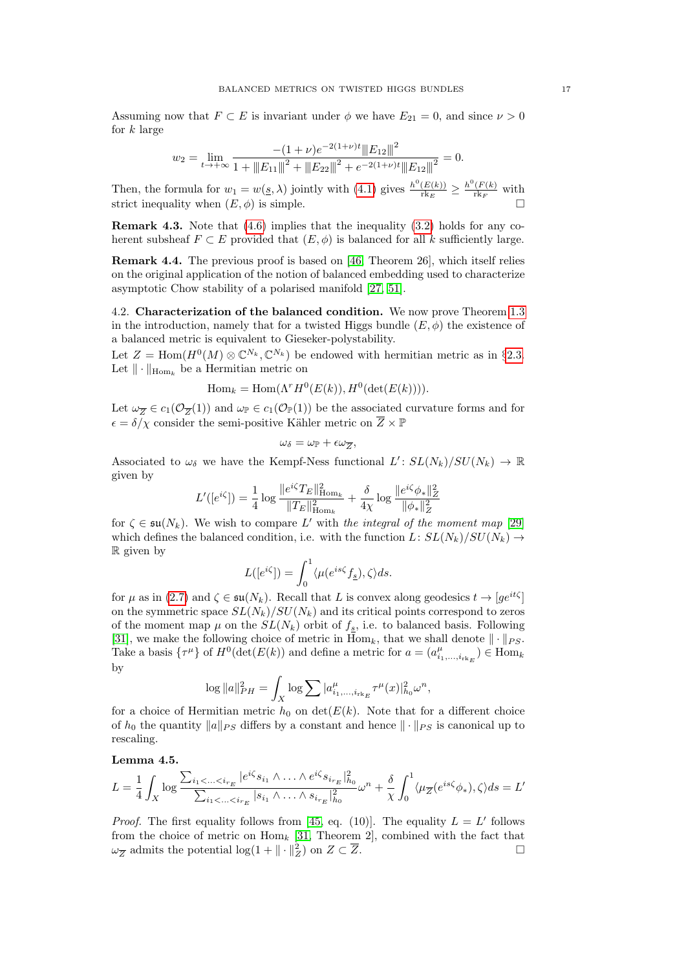Assuming now that  $F \subset E$  is invariant under  $\phi$  we have  $E_{21} = 0$ , and since  $\nu > 0$ for  $k$  large

$$
w_2 = \lim_{t \to +\infty} \frac{-(1+\nu)e^{-2(1+\nu)t} \|E_{12}\|^2}{1 + \|E_{11}\|^2 + \|E_{22}\|^2 + e^{-2(1+\nu)t} \|E_{12}\|^2} = 0.
$$

Then, the formula for  $w_1 = w(g, \lambda)$  jointly with [\(4.1\)](#page-14-3) gives  $\frac{h^0(E(k))}{\text{rk } E}$  $\frac{(E(k))}{\text{rk}_E} \geq \frac{h^0(F(k))}{\text{rk}_F}$  $\frac{(F(k))}{\text{rk}_F}$  with strict inequality when  $(E, \phi)$  is simple.

**Remark 4.3.** Note that  $(4.6)$  implies that the inequality  $(3.2)$  holds for any coherent subsheaf  $F \subset E$  provided that  $(E, \phi)$  is balanced for all k sufficiently large.

Remark 4.4. The previous proof is based on [\[46,](#page-31-10) Theorem 26], which itself relies on the original application of the notion of balanced embedding used to characterize asymptotic Chow stability of a polarised manifold [\[27,](#page-30-28) [51\]](#page-31-11).

<span id="page-16-0"></span>4.2. Characterization of the balanced condition. We now prove Theorem [1.3](#page-1-1) in the introduction, namely that for a twisted Higgs bundle  $(E, \phi)$  the existence of a balanced metric is equivalent to Gieseker-polystability.

Let  $Z = \text{Hom}(H^0(M) \otimes \mathbb{C}^{N_k}, \mathbb{C}^{N_k})$  be endowed with hermitian metric as in §[2.3.](#page-6-1) Let  $\|\cdot\|_{\text{Hom}_k}$  be a Hermitian metric on

$$
\operatorname{Hom}_k = \operatorname{Hom}(\Lambda^r H^0(E(k)), H^0(\det(E(k)))).
$$

Let  $\omega_{\overline{Z}} \in c_1(\mathcal{O}_{\overline{Z}}(1))$  and  $\omega_{\mathbb{P}} \in c_1(\mathcal{O}_{\mathbb{P}}(1))$  be the associated curvature forms and for  $\epsilon = \delta/\chi$  consider the semi-positive Kähler metric on  $\overline{Z} \times \mathbb{P}$ 

$$
\omega_{\delta}=\omega_{\mathbb{P}}+\epsilon\omega_{\overline{Z}},
$$

Associated to  $\omega_{\delta}$  we have the Kempf-Ness functional  $L': SL(N_k)/SU(N_k) \to \mathbb{R}$ given by

$$
L'([e^{i\zeta}]) = \frac{1}{4} \log \frac{\|e^{i\zeta} T_E\|_{\operatorname{Hom}_k}^2}{\|T_E\|_{\operatorname{Hom}_k}^2} + \frac{\delta}{4\chi} \log \frac{\|e^{i\zeta}\phi_*\|_Z^2}{\|\phi_*\|_Z^2}
$$

for  $\zeta \in \mathfrak{su}(N_k)$ . We wish to compare L' with the integral of the moment map [\[29\]](#page-30-29) which defines the balanced condition, i.e. with the function  $L: SL(N_k)/SU(N_k) \rightarrow$ R given by

$$
L([e^{i\zeta}]) = \int_0^1 \langle \mu(e^{is\zeta} f_{\underline{s}}), \zeta \rangle ds.
$$

for  $\mu$  as in [\(2.7\)](#page-6-2) and  $\zeta \in \mathfrak{su}(N_k)$ . Recall that L is convex along geodesics  $t \to [ge^{it\zeta}]$ on the symmetric space  $SL(N_k)/SU(N_k)$  and its critical points correspond to zeros of the moment map  $\mu$  on the  $SL(N_k)$  orbit of  $f_s$ , i.e. to balanced basis. Following [\[31\]](#page-30-8), we make the following choice of metric in  $\text{Hom}_k$ , that we shall denote  $\|\cdot\|_{PS}$ . Take a basis  $\{\tau^{\mu}\}\$  of  $H^0(\det(E(k))$  and define a metric for  $a = (a^{\mu}_{i_1,\dots,i_{r_k}E}) \in \text{Hom}_k$ by

$$
\log \|a\|_{PH}^2 = \int_X \log \sum |a^\mu_{i_1,\ldots,i_{\mathrm{rk}_E}} \tau^\mu(x)|^2_{h_0} \omega^n,
$$

for a choice of Hermitian metric  $h_0$  on  $\det(E(k))$ . Note that for a different choice of  $h_0$  the quantity  $||a||_{PS}$  differs by a constant and hence  $|| \cdot ||_{PS}$  is canonical up to rescaling.

## <span id="page-16-1"></span>Lemma 4.5.

$$
L = \frac{1}{4} \int_X \log \frac{\sum_{i_1 < ... < i_{r_E}} |e^{i\zeta} s_{i_1} \wedge ... \wedge e^{i\zeta} s_{i_{r_E}}|_{h_0}^2}{\sum_{i_1 < ... < i_{r_E}} |s_{i_1} \wedge ... \wedge s_{i_{r_E}}|_{h_0}^2} \omega^n + \frac{\delta}{\chi} \int_0^1 \langle \mu_{\overline{Z}}(e^{is\zeta} \phi_*) , \zeta \rangle ds = L'
$$

*Proof.* The first equality follows from [\[45,](#page-31-2) eq. (10)]. The equality  $L = L'$  follows from the choice of metric on  $\text{Hom}_k$  [\[31,](#page-30-8) Theorem 2], combined with the fact that  $\omega_{\overline{Z}}$  admits the potential  $\log(1 + \| \cdot \|_Z^2)$  on  $Z \subset \overline{Z}$ .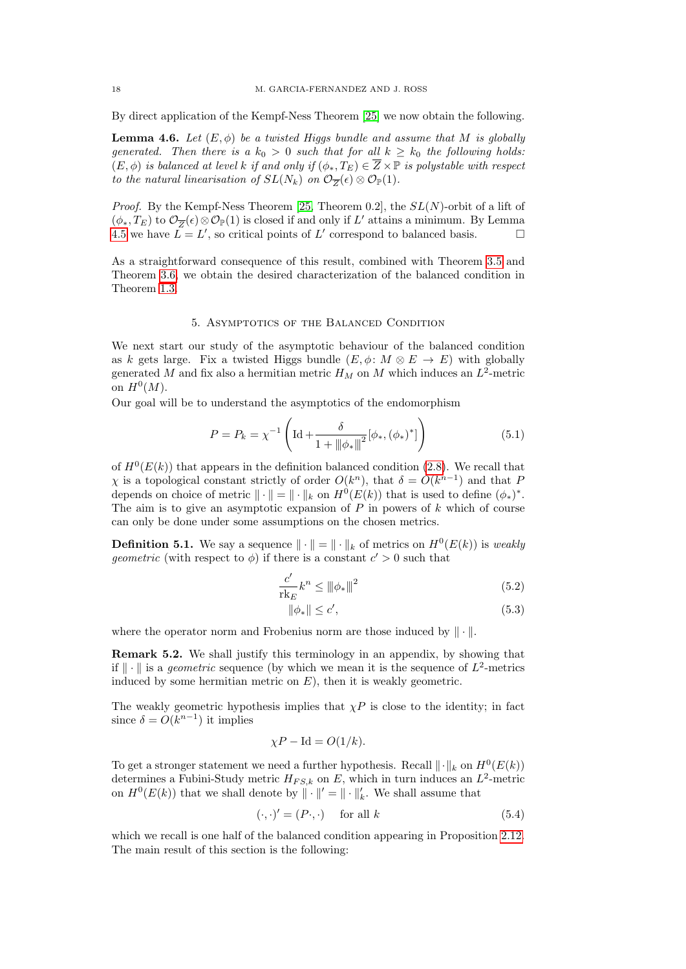By direct application of the Kempf-Ness Theorem [\[25\]](#page-30-30) we now obtain the following.

**Lemma 4.6.** Let  $(E, \phi)$  be a twisted Higgs bundle and assume that M is globally generated. Then there is a  $k_0 > 0$  such that for all  $k \geq k_0$  the following holds:  $(E, \phi)$  is balanced at level k if and only if  $(\phi_*, T_E) \in \overline{Z} \times \mathbb{P}$  is polystable with respect to the natural linearisation of  $SL(N_k)$  on  $\mathcal{O}_{\overline{Z}}(\epsilon) \otimes \mathcal{O}_{\mathbb{P}}(1)$ .

*Proof.* By the Kempf-Ness Theorem [\[25,](#page-30-30) Theorem 0.2], the  $SL(N)$ -orbit of a lift of  $(\phi_*, T_E)$  to  $\mathcal{O}_{\overline{Z}}(\epsilon) \otimes \mathcal{O}_{\mathbb{P}}(1)$  is closed if and only if  $L'$  attains a minimum. By Lemma [4.5](#page-16-1) we have  $\overrightarrow{L} = L'$ , so critical points of L' correspond to balanced basis.

As a straightforward consequence of this result, combined with Theorem [3.5](#page-10-0) and Theorem [3.6,](#page-10-1) we obtain the desired characterization of the balanced condition in Theorem [1.3.](#page-1-1)

## 5. Asymptotics of the Balanced Condition

<span id="page-17-0"></span>We next start our study of the asymptotic behaviour of the balanced condition as k gets large. Fix a twisted Higgs bundle  $(E, \phi: M \otimes E \to E)$  with globally generated M and fix also a hermitian metric  $H_M$  on M which induces an  $L^2$ -metric on  $H^0(M)$ .

Our goal will be to understand the asymptotics of the endomorphism

<span id="page-17-3"></span>
$$
P = P_k = \chi^{-1} \left( \text{Id} + \frac{\delta}{1 + ||\phi_*||^2} [\phi_*, (\phi_*)^*] \right) \tag{5.1}
$$

of  $H^0(E(k))$  that appears in the definition balanced condition [\(2.8\)](#page-6-3). We recall that  $\chi$  is a topological constant strictly of order  $O(k^n)$ , that  $\delta = O(k^{n-1})$  and that F depends on choice of metric  $\|\cdot\| = \|\cdot\|_k$  on  $H^0(E(k))$  that is used to define  $(\phi_*)^*$ . The aim is to give an asymptotic expansion of  $P$  in powers of  $k$  which of course can only be done under some assumptions on the chosen metrics.

**Definition 5.1.** We say a sequence  $\|\cdot\| = \|\cdot\|_k$  of metrics on  $H^0(E(k))$  is weakly *geometric* (with respect to  $\phi$ ) if there is a constant  $c' > 0$  such that

$$
\frac{c'}{\operatorname{rk}_E}k^n \le \|\phi_*\|^2\tag{5.2}
$$

<span id="page-17-4"></span><span id="page-17-2"></span>
$$
\|\phi_*\| \le c',\tag{5.3}
$$

where the operator norm and Frobenius norm are those induced by  $\|\cdot\|$ .

Remark 5.2. We shall justify this terminology in an appendix, by showing that if  $\|\cdot\|$  is a *geometric* sequence (by which we mean it is the sequence of  $L^2$ -metrics induced by some hermitian metric on  $E$ ), then it is weakly geometric.

The weakly geometric hypothesis implies that  $\chi P$  is close to the identity; in fact since  $\delta = O(k^{n-1})$  it implies

$$
\chi P - \text{Id} = O(1/k).
$$

To get a stronger statement we need a further hypothesis. Recall  $\|\cdot\|_k$  on  $H^0(E(k))$ determines a Fubini-Study metric  $H_{FS,k}$  on E, which in turn induces an  $L^2$ -metric on  $H^0(E(k))$  that we shall denote by  $\|\cdot\|' = \|\cdot\|'_{k}$ . We shall assume that

<span id="page-17-1"></span>
$$
(\cdot, \cdot)' = (P \cdot, \cdot) \quad \text{for all } k \tag{5.4}
$$

which we recall is one half of the balanced condition appearing in Proposition [2.12.](#page-7-2) The main result of this section is the following: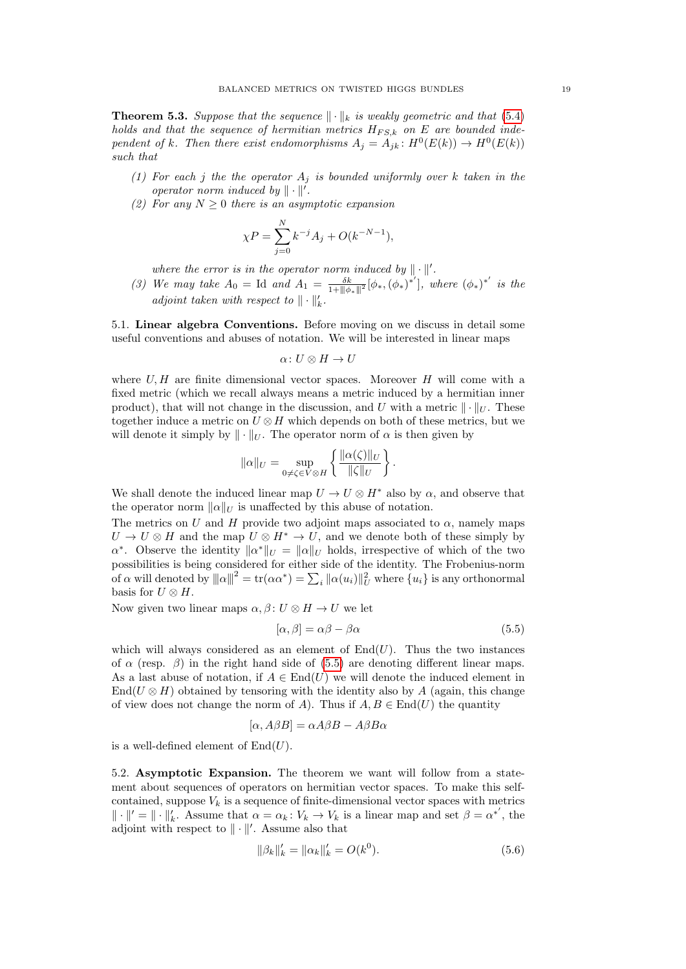<span id="page-18-0"></span>**Theorem 5.3.** Suppose that the sequence  $\|\cdot\|_k$  is weakly geometric and that [\(5.4\)](#page-17-1) holds and that the sequence of hermitian metrics  $H_{FS,k}$  on E are bounded independent of k. Then there exist endomorphisms  $A_j = A_{jk} : H^0(E(k)) \to H^0(E(k))$ such that

- (1) For each j the the operator  $A_i$  is bounded uniformly over k taken in the operator norm induced by  $\|\cdot\|'$ .
- (2) For any  $N \geq 0$  there is an asymptotic expansion

$$
\chi P = \sum_{j=0}^{N} k^{-j} A_j + O(k^{-N-1}),
$$

where the error is in the operator norm induced by  $\|\cdot\|'$ .

(3) We may take  $A_0 = \text{Id}$  and  $A_1 = \frac{\delta k}{1 + ||\phi_*||^2} [\phi_*, (\phi_*)^*]$ , where  $(\phi_*)^{*'}$  is the adjoint taken with respect to  $\|\cdot\|'_k$ .

<span id="page-18-3"></span>5.1. Linear algebra Conventions. Before moving on we discuss in detail some useful conventions and abuses of notation. We will be interested in linear maps

$$
\alpha\colon U\otimes H\to U
$$

where  $U, H$  are finite dimensional vector spaces. Moreover  $H$  will come with a fixed metric (which we recall always means a metric induced by a hermitian inner product), that will not change in the discussion, and U with a metric  $\|\cdot\|_U$ . These together induce a metric on  $U \otimes H$  which depends on both of these metrics, but we will denote it simply by  $\|\cdot\|_U$ . The operator norm of  $\alpha$  is then given by

$$
\|\alpha\|_{U} = \sup_{0 \neq \zeta \in V \otimes H} \left\{ \frac{\|\alpha(\zeta)\|_{U}}{\|\zeta\|_{U}} \right\}.
$$

We shall denote the induced linear map  $U \to U \otimes H^*$  also by  $\alpha$ , and observe that the operator norm  $\|\alpha\|_{U}$  is unaffected by this abuse of notation.

The metrics on U and H provide two adjoint maps associated to  $\alpha$ , namely maps  $U \to U \otimes H$  and the map  $U \otimes H^* \to U$ , and we denote both of these simply by  $\alpha^*$ . Observe the identity  $\|\alpha^*\|_U = \|\alpha\|_U$  holds, irrespective of which of the two possibilities is being considered for either side of the identity. The Frobenius-norm of  $\alpha$  will denoted by  $|||\alpha|||^2 = \text{tr}(\alpha \alpha^*) = \sum_i ||\alpha(u_i)||_U^2$  where  $\{u_i\}$  is any orthonormal basis for  $U \otimes H$ .

Now given two linear maps  $\alpha, \beta \colon U \otimes H \to U$  we let

<span id="page-18-1"></span>
$$
[\alpha, \beta] = \alpha \beta - \beta \alpha \tag{5.5}
$$

which will always considered as an element of  $End(U)$ . Thus the two instances of  $\alpha$  (resp.  $\beta$ ) in the right hand side of [\(5.5\)](#page-18-1) are denoting different linear maps. As a last abuse of notation, if  $A \in \text{End}(U)$  we will denote the induced element in End( $U \otimes H$ ) obtained by tensoring with the identity also by A (again, this change of view does not change the norm of A). Thus if  $A, B \in End(U)$  the quantity

$$
[\alpha, A\beta B] = \alpha A\beta B - A\beta B\alpha
$$

is a well-defined element of  $End(U)$ .

5.2. Asymptotic Expansion. The theorem we want will follow from a statement about sequences of operators on hermitian vector spaces. To make this selfcontained, suppose  $V_k$  is a sequence of finite-dimensional vector spaces with metrics  $\|\cdot\|' = \|\cdot\|'_{k}$ . Assume that  $\alpha = \alpha_k : V_k \to V_k$  is a linear map and set  $\beta = \alpha^{*'}$ , the adjoint with respect to  $\|\cdot\|'$ . Assume also that

<span id="page-18-2"></span>
$$
\|\beta_k\|_k' = \|\alpha_k\|_k' = O(k^0). \tag{5.6}
$$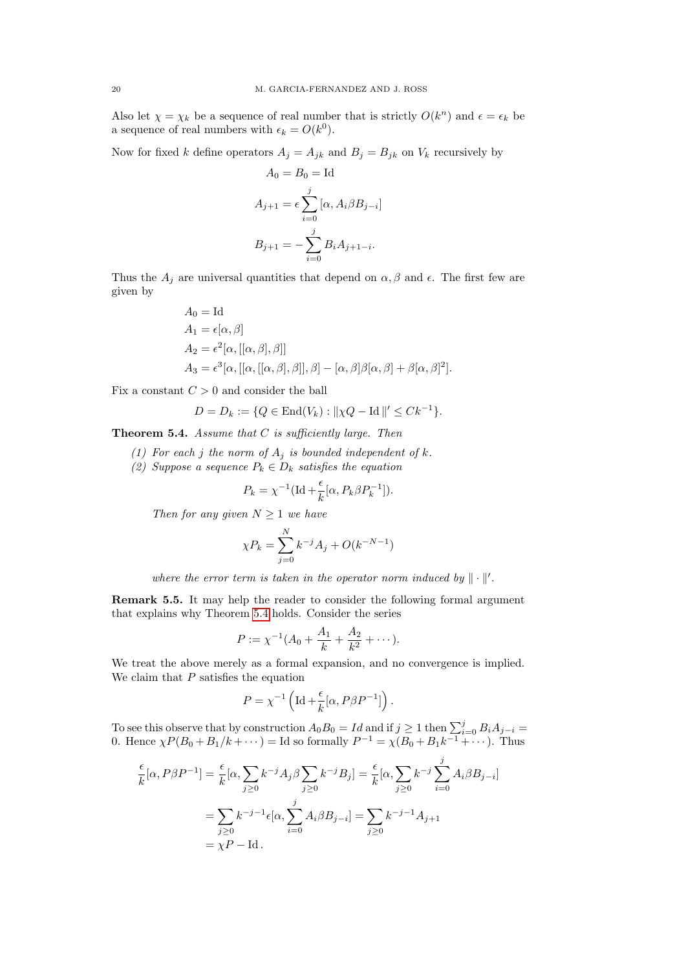Also let  $\chi = \chi_k$  be a sequence of real number that is strictly  $O(k^n)$  and  $\epsilon = \epsilon_k$  be a sequence of real numbers with  $\epsilon_k = O(k^0)$ .

Now for fixed k define operators  $A_j = A_{jk}$  and  $B_j = B_{jk}$  on  $V_k$  recursively by

$$
A_0 = B_0 = \text{Id}
$$
  
\n
$$
A_{j+1} = \epsilon \sum_{i=0}^{j} [\alpha, A_i \beta B_{j-i}]
$$
  
\n
$$
B_{j+1} = -\sum_{i=0}^{j} B_i A_{j+1-i}.
$$

Thus the  $A_j$  are universal quantities that depend on  $\alpha, \beta$  and  $\epsilon$ . The first few are given by

$$
A_0 = \text{Id}
$$
  
\n
$$
A_1 = \epsilon[\alpha, \beta]
$$
  
\n
$$
A_2 = \epsilon^2[\alpha, [[\alpha, \beta], \beta]]
$$
  
\n
$$
A_3 = \epsilon^3[\alpha, [[\alpha, [\alpha, \beta], \beta]], \beta] - [\alpha, \beta]\beta[\alpha, \beta] + \beta[\alpha, \beta]^2].
$$

Fix a constant  $C > 0$  and consider the ball

$$
D = D_k := \{ Q \in \text{End}(V_k) : ||\chi Q - \text{Id}||' \leq C k^{-1} \}.
$$

<span id="page-19-0"></span>**Theorem 5.4.** Assume that  $C$  is sufficiently large. Then

- (1) For each j the norm of  $A_j$  is bounded independent of k.
- (2) Suppose a sequence  $P_k \in D_k$  satisfies the equation

$$
P_k = \chi^{-1} (\text{Id} + \frac{\epsilon}{k} [\alpha, P_k \beta P_k^{-1}]).
$$

Then for any given  $N \geq 1$  we have

$$
\chi P_k = \sum_{j=0}^{N} k^{-j} A_j + O(k^{-N-1})
$$

where the error term is taken in the operator norm induced by  $\|\cdot\|'$ .

Remark 5.5. It may help the reader to consider the following formal argument that explains why Theorem [5.4](#page-19-0) holds. Consider the series

$$
P := \chi^{-1}(A_0 + \frac{A_1}{k} + \frac{A_2}{k^2} + \cdots).
$$

We treat the above merely as a formal expansion, and no convergence is implied. We claim that  $P$  satisfies the equation

$$
P = \chi^{-1} \left( \text{Id} + \frac{\epsilon}{k} [\alpha, P \beta P^{-1}] \right).
$$

To see this observe that by construction  $A_0 B_0 = Id$  and if  $j \geq 1$  then  $\sum_{i=0}^{j} B_i A_{j-i} =$ 0. Hence  $\chi P(B_0 + B_1/k + \cdots) =$  Id so formally  $P^{-1} = \chi(B_0 + B_1k^{-1} + \cdots)$ . Thus

$$
\frac{\epsilon}{k}[\alpha, P\beta P^{-1}] = \frac{\epsilon}{k}[\alpha, \sum_{j\geq 0} k^{-j}A_j\beta \sum_{j\geq 0} k^{-j}B_j] = \frac{\epsilon}{k}[\alpha, \sum_{j\geq 0} k^{-j} \sum_{i=0}^j A_i\beta B_{j-i}] \n= \sum_{j\geq 0} k^{-j-1}\epsilon[\alpha, \sum_{i=0}^j A_i\beta B_{j-i}] = \sum_{j\geq 0} k^{-j-1}A_{j+1} \n= \chi P - \text{Id}.
$$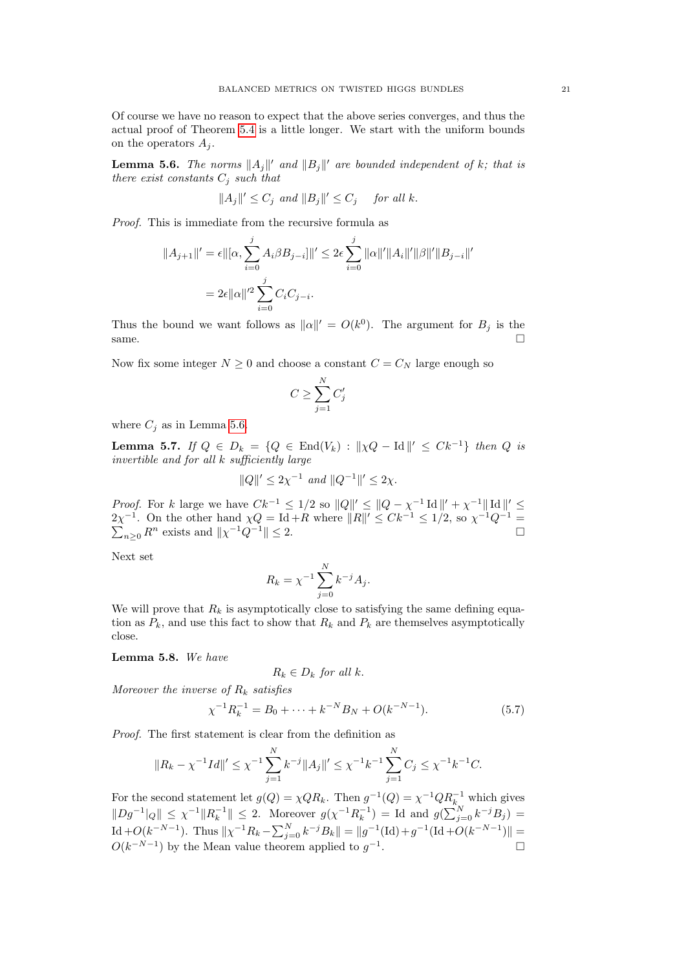Of course we have no reason to expect that the above series converges, and thus the actual proof of Theorem [5.4](#page-19-0) is a little longer. We start with the uniform bounds on the operators  $A_i$ .

<span id="page-20-0"></span>**Lemma 5.6.** The norms  $||A_j||'$  and  $||B_j||'$  are bounded independent of k; that is there exist constants  $C_j$  such that

$$
||A_j||' \le C_j \text{ and } ||B_j||' \le C_j \quad \text{ for all } k.
$$

Proof. This is immediate from the recursive formula as

$$
||A_{j+1}||' = \epsilon ||[\alpha, \sum_{i=0}^{j} A_i \beta B_{j-i}]||' \le 2\epsilon \sum_{i=0}^{j} ||\alpha||' ||A_i||' ||\beta||' ||B_{j-i}||'
$$
  
=  $2\epsilon ||\alpha||'^2 \sum_{i=0}^{j} C_i C_{j-i}.$ 

Thus the bound we want follows as  $||\alpha||' = O(k^0)$ . The argument for  $B_j$  is the  $\Box$  same.

Now fix some integer  $N \geq 0$  and choose a constant  $C = C_N$  large enough so

$$
C \geq \sum_{j=1}^N C'_j
$$

where  $C_i$  as in Lemma [5.6.](#page-20-0)

<span id="page-20-1"></span>**Lemma 5.7.** If  $Q \in D_k = \{Q \in \text{End}(V_k) : ||\chi Q - \text{Id}||' \leq Ck^{-1}\}\$  then  $Q$  is invertible and for all k sufficiently large

$$
||Q||' \le 2\chi^{-1} \text{ and } ||Q^{-1}||' \le 2\chi.
$$

*Proof.* For k large we have  $Ck^{-1} \leq 1/2$  so  $||Q||' \leq ||Q - \chi^{-1} \operatorname{Id}||' + \chi^{-1}||\operatorname{Id}||' \leq$  $2\chi^{-1}$ . On the other hand  $\chi Q = \text{Id} + R$  where  $||R||' \leq Ck^{-1} \leq 1/2$ , so  $\chi$ P  $^{-1}Q^{-1} =$  $n \geq 0$  R<sup>n</sup> exists and  $||\chi^{-1}Q^{-1}|| \leq 2$ .

Next set

$$
R_k = \chi^{-1} \sum_{j=0}^{N} k^{-j} A_j.
$$

We will prove that  $R_k$  is asymptotically close to satisfying the same defining equation as  $P_k$ , and use this fact to show that  $R_k$  and  $P_k$  are themselves asymptotically close.

Lemma 5.8. We have

$$
R_k \in D_k \text{ for all } k.
$$

Moreover the inverse of  $R_k$  satisfies

$$
\chi^{-1}R_k^{-1} = B_0 + \dots + k^{-N}B_N + O(k^{-N-1}).
$$
\n(5.7)

Proof. The first statement is clear from the definition as

$$
||R_k - \chi^{-1}Id||' \leq \chi^{-1} \sum_{j=1}^N k^{-j} ||A_j||' \leq \chi^{-1}k^{-1} \sum_{j=1}^N C_j \leq \chi^{-1}k^{-1}C.
$$

For the second statement let  $g(Q) = \chi Q R_k$ . Then  $g^{-1}(Q) = \chi^{-1} Q R_k^{-1}$  which gives  $||Dg^{-1}|_Q|| \leq \chi^{-1}||R_k^{-1}|| \leq 2$ . Moreover  $g(\chi^{-1}R_k^{-1}) = \text{Id}$  and  $g(\sum_{j=0}^N k^{-j}B_j) =$ Id + $O(k^{-N-1})$ . Thus  $\|\chi^{-1}R_k - \sum_{j=0}^N k^{-j}B_k\| = \|g^{-1}(\text{Id}) + g^{-1}(\text{Id} + O(k^{-N-1})\|$  $O(k^{-N-1})$  by the Mean value theorem applied to  $g^{-1}$ .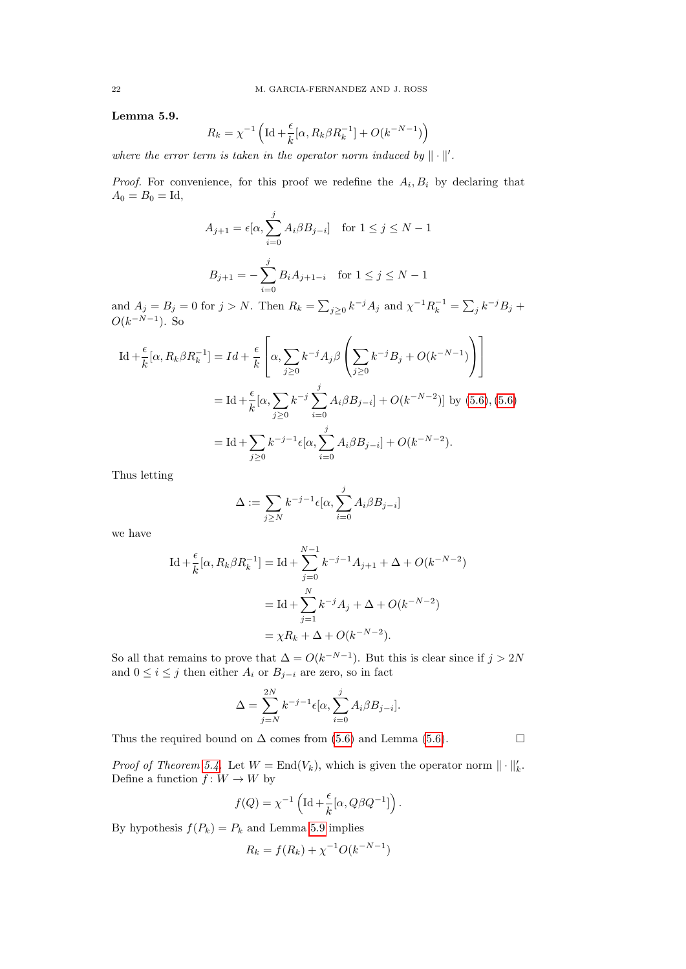<span id="page-21-0"></span>Lemma 5.9.

$$
R_k = \chi^{-1}\left(\operatorname{Id} + \frac{\epsilon}{k}[\alpha, R_k \beta R_k^{-1}] + O(k^{-N-1})\right)
$$

where the error term is taken in the operator norm induced by  $\|\cdot\|'$ .

*Proof.* For convenience, for this proof we redefine the  $A_i, B_i$  by declaring that  $A_0 = B_0 = Id,$ 

$$
A_{j+1} = \epsilon[\alpha, \sum_{i=0}^{j} A_i \beta B_{j-i}] \quad \text{for } 1 \le j \le N - 1
$$

$$
B_{j+1} = -\sum_{i=0}^{j} B_i A_{j+1-i} \quad \text{for } 1 \le j \le N - 1
$$

and  $A_j = B_j = 0$  for  $j > N$ . Then  $R_k = \sum_{j \geq 0} k^{-j} A_j$  and  $\chi^{-1} R_k^{-1} = \sum_j k^{-j} B_j +$  $O(k^{-N-1})$ . So

$$
\begin{split} \mathrm{Id} + \frac{\epsilon}{k} [\alpha, R_k \beta R_k^{-1}] &= Id + \frac{\epsilon}{k} \left[ \alpha, \sum_{j \ge 0} k^{-j} A_j \beta \left( \sum_{j \ge 0} k^{-j} B_j + O(k^{-N-1}) \right) \right] \\ &= \mathrm{Id} + \frac{\epsilon}{k} [\alpha, \sum_{j \ge 0} k^{-j} \sum_{i=0}^j A_i \beta B_{j-i}] + O(k^{-N-2})] \text{ by (5.6), (5.6)} \\ &= \mathrm{Id} + \sum_{j \ge 0} k^{-j-1} \epsilon [\alpha, \sum_{i=0}^j A_i \beta B_{j-i}] + O(k^{-N-2}). \end{split}
$$

Thus letting

$$
\Delta := \sum_{j \ge N} k^{-j-1} \epsilon[\alpha, \sum_{i=0}^{j} A_i \beta B_{j-i}]
$$

we have

$$
\begin{aligned} \mathrm{Id} + \frac{\epsilon}{k} [\alpha, R_k \beta R_k^{-1}] &= \mathrm{Id} + \sum_{j=0}^{N-1} k^{-j-1} A_{j+1} + \Delta + O(k^{-N-2}) \\ &= \mathrm{Id} + \sum_{j=1}^{N} k^{-j} A_j + \Delta + O(k^{-N-2}) \\ &= \chi R_k + \Delta + O(k^{-N-2}). \end{aligned}
$$

So all that remains to prove that  $\Delta = O(k^{-N-1})$ . But this is clear since if  $j > 2N$ and  $0 \leq i \leq j$  then either  $A_i$  or  $B_{j-i}$  are zero, so in fact

$$
\Delta = \sum_{j=N}^{2N} k^{-j-1} \epsilon[\alpha, \sum_{i=0}^{j} A_i \beta B_{j-i}].
$$

Thus the required bound on  $\Delta$  comes from [\(5.6\)](#page-20-0) and Lemma (5.6).  $\Box$ 

*Proof of Theorem [5.4.](#page-19-0)* Let  $W = \text{End}(V_k)$ , which is given the operator norm  $\|\cdot\|_k'$ . Define a function  $f: W \to W$  by

$$
f(Q) = \chi^{-1} \left( \text{Id} + \frac{\epsilon}{k} [\alpha, Q\beta Q^{-1}] \right).
$$

By hypothesis  $f(P_k) = P_k$  and Lemma [5.9](#page-21-0) implies

$$
R_k = f(R_k) + \chi^{-1} O(k^{-N-1})
$$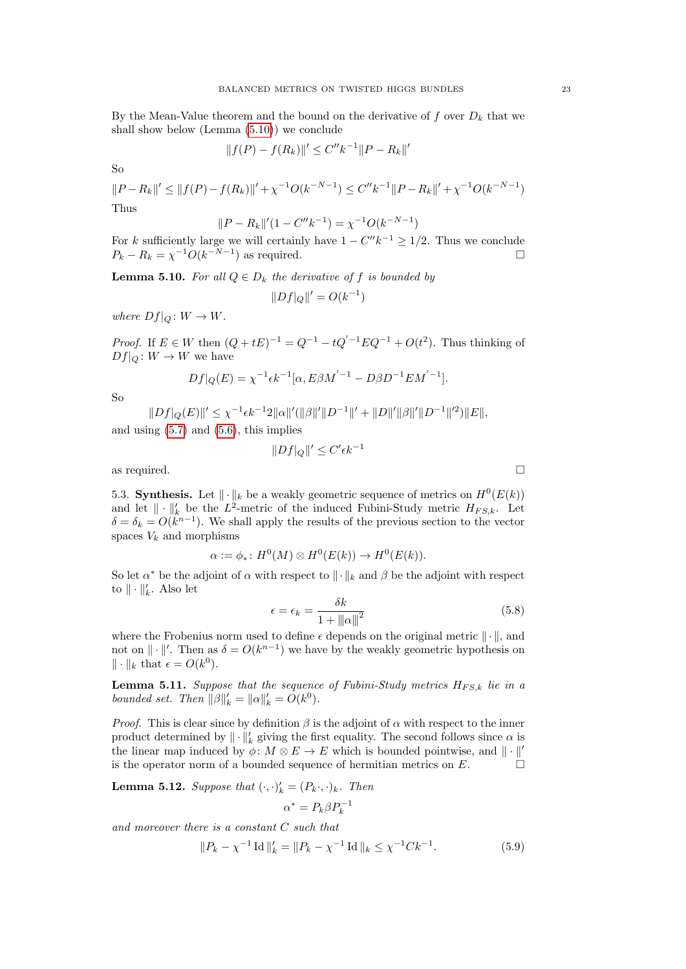By the Mean-Value theorem and the bound on the derivative of  $f$  over  $D_k$  that we shall show below (Lemma [\(5.10\)](#page-22-0)) we conclude

$$
||f(P) - f(R_k)||' \le C'' k^{-1} ||P - R_k||'
$$

So

$$
||P - R_k||' \le ||f(P) - f(R_k)||' + \chi^{-1}O(k^{-N-1}) \le C''k^{-1}||P - R_k||' + \chi^{-1}O(k^{-N-1})
$$
  
Thus

$$
||P - R_k||'(1 - C''k^{-1}) = \chi^{-1}O(k^{-N-1})
$$

For k sufficiently large we will certainly have  $1 - C''k^{-1} \geq 1/2$ . Thus we conclude  $P_k - R_k = \chi^{-1} O(k^{-N-1})$  as required.

<span id="page-22-0"></span>**Lemma 5.10.** For all  $Q \in D_k$  the derivative of f is bounded by

$$
||Df|_{Q}||' = O(k^{-1})
$$

where  $Df|_Q \colon W \to W$ .

*Proof.* If  $E \in W$  then  $(Q + tE)^{-1} = Q^{-1} - tQ'^{-1}EQ^{-1} + O(t^2)$ . Thus thinking of  $Df|_Q \colon W \to W$  we have

$$
Df|_{Q}(E) = \chi^{-1} \epsilon k^{-1} [\alpha, E\beta M^{'-1} - D\beta D^{-1} E M^{'-1}].
$$

So

$$
||Df|_Q(E)||' \leq \chi^{-1}\epsilon k^{-1}2||\alpha||'(||\beta||'||D^{-1}||' + ||D||'||\beta||'||D^{-1}||'^2)||E||,
$$

and using  $(5.7)$  and  $(5.6)$ , this implies

$$
||Df|_Q||' \le C' \epsilon k^{-1}
$$

as required.  $\Box$ 

5.3. **Synthesis.** Let  $\|\cdot\|_k$  be a weakly geometric sequence of metrics on  $H^0(E(k))$ and let  $\|\cdot\|_k^{\prime}$  be the  $L^2$ -metric of the induced Fubini-Study metric  $H_{FS,k}$ . Let  $\delta = \delta_k = O(k^{n-1})$ . We shall apply the results of the previous section to the vector spaces  $V_k$  and morphisms

$$
\alpha := \phi_* \colon H^0(M) \otimes H^0(E(k)) \to H^0(E(k)).
$$

So let  $\alpha^*$  be the adjoint of  $\alpha$  with respect to  $\|\cdot\|_k$  and  $\beta$  be the adjoint with respect to  $\|\cdot\|'_k$ . Also let

<span id="page-22-4"></span>
$$
\epsilon = \epsilon_k = \frac{\delta k}{1 + \|\alpha\|^2} \tag{5.8}
$$

where the Frobenius norm used to define  $\epsilon$  depends on the original metric  $\|\cdot\|$ , and not on  $\|\cdot\|'$ . Then as  $\delta = O(k^{n-1})$  we have by the weakly geometric hypothesis on  $\|\cdot\|_k$  that  $\epsilon = O(k^0)$ .

<span id="page-22-3"></span>**Lemma 5.11.** Suppose that the sequence of Fubini-Study metrics  $H_{FS,k}$  lie in a bounded set. Then  $\|\beta\|'_{k} = \|\alpha\|'_{k} = O(k^{0}).$ 

*Proof.* This is clear since by definition  $\beta$  is the adjoint of  $\alpha$  with respect to the inner product determined by  $\|\cdot\|'_k$  giving the first equality. The second follows since  $\alpha$  is the linear map induced by  $\phi \colon M \otimes E \to E$  which is bounded pointwise, and  $\|\cdot\|'$ is the operator norm of a bounded sequence of hermitian metrics on  $E$ .

<span id="page-22-2"></span>**Lemma 5.12.** Suppose that  $(\cdot, \cdot)'_k = (P_k \cdot, \cdot)_k$ . Then

$$
\alpha^* = P_k \beta P_k^{-1}
$$

and moreover there is a constant C such that

<span id="page-22-1"></span>
$$
||P_k - \chi^{-1} \operatorname{Id} ||_k = ||P_k - \chi^{-1} \operatorname{Id} ||_k \leq \chi^{-1} C k^{-1}.
$$
 (5.9)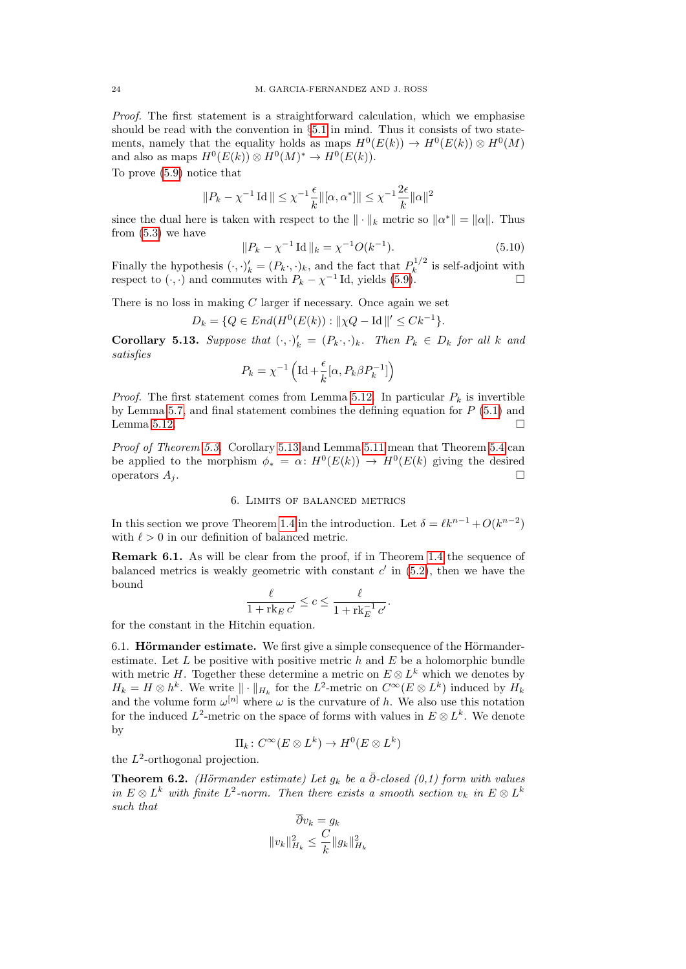Proof. The first statement is a straightforward calculation, which we emphasise should be read with the convention in  $\S 5.1$  $\S 5.1$  in mind. Thus it consists of two statements, namely that the equality holds as maps  $H^0(E(k)) \to H^0(E(k)) \otimes H^0(M)$ and also as maps  $H^0(E(k)) \otimes H^0(M)^* \to H^0(E(k)).$ 

To prove [\(5.9\)](#page-22-1) notice that

$$
||P_k - \chi^{-1} \operatorname{Id}|| \leq \chi^{-1} \frac{\epsilon}{k} ||[\alpha, \alpha^*]|| \leq \chi^{-1} \frac{2\epsilon}{k} ||\alpha||^2
$$

since the dual here is taken with respect to the  $\|\cdot\|_k$  metric so  $\|\alpha^*\| = \|\alpha\|$ . Thus from  $(5.3)$  we have

$$
||P_k - \chi^{-1} \operatorname{Id}||_k = \chi^{-1} O(k^{-1}). \tag{5.10}
$$

Finally the hypothesis  $(\cdot, \cdot)'_k = (P_k \cdot, \cdot)_k$ , and the fact that  $P_k^{1/2}$  $k^{1/2}$  is self-adjoint with respect to  $(\cdot, \cdot)$  and commutes with  $P_k - \chi^{-1}$  Id, yields [\(5.9\)](#page-22-1).

There is no loss in making  $C$  larger if necessary. Once again we set

$$
D_k = \{ Q \in End(H^0(E(k)) : ||\chi Q - \text{Id}||' \leq Ck^{-1} \}.
$$

<span id="page-23-2"></span>**Corollary 5.13.** Suppose that  $(\cdot, \cdot)^{k}_{k} = (P_{k}, \cdot)_{k}$ . Then  $P_{k} \in D_{k}$  for all k and satisfies

$$
P_k = \chi^{-1}\left(\operatorname{Id} + \frac{\epsilon}{k}[\alpha,P_k\beta P_k^{-1}]\right)
$$

*Proof.* The first statement comes from Lemma [5.12.](#page-22-2) In particular  $P_k$  is invertible by Lemma [5.7,](#page-20-1) and final statement combines the defining equation for  $P(5.1)$  $P(5.1)$  and Lemma [5.12.](#page-22-2)  $\Box$ 

Proof of Theorem [5.3.](#page-18-0) Corollary [5.13](#page-23-2) and Lemma [5.11](#page-22-3) mean that Theorem [5.4](#page-19-0) can be applied to the morphism  $\phi_* = \alpha \colon H^0(E(k)) \to H^0(E(k))$  giving the desired operators  $A_i$ .

### 6. Limits of balanced metrics

<span id="page-23-0"></span>In this section we prove Theorem [1.4](#page-2-0) in the introduction. Let  $\delta = \ell k^{n-1} + O(k^{n-2})$ with  $\ell > 0$  in our definition of balanced metric.

<span id="page-23-1"></span>Remark 6.1. As will be clear from the proof, if in Theorem [1.4](#page-2-0) the sequence of balanced metrics is weakly geometric with constant  $c'$  in  $(5.2)$ , then we have the bound

$$
\frac{\ell}{1 + \operatorname{rk}_E c'} \le c \le \frac{\ell}{1 + \operatorname{rk}_E^{-1} c'}.
$$

for the constant in the Hitchin equation.

6.1. **Hörmander estimate.** We first give a simple consequence of the Hörmanderestimate. Let  $L$  be positive with positive metric  $h$  and  $E$  be a holomorphic bundle with metric H. Together these determine a metric on  $E \otimes L^k$  which we denotes by  $H_k = H \otimes h^k$ . We write  $\|\cdot\|_{H_k}$  for the  $L^2$ -metric on  $C^{\infty}(E \otimes L^k)$  induced by  $H_k$ and the volume form  $\omega^{[n]}$  where  $\omega$  is the curvature of h. We also use this notation for the induced  $L^2$ -metric on the space of forms with values in  $E \otimes L^k$ . We denote by

$$
\Pi_k\colon C^\infty(E\otimes L^k)\to H^0(E\otimes L^k)
$$

the  $L^2$ -orthogonal projection.

**Theorem 6.2.** (Hörmander estimate) Let  $g_k$  be a  $\bar{\partial}$ -closed (0,1) form with values in  $E \otimes L^k$  with finite  $L^2$ -norm. Then there exists a smooth section  $v_k$  in  $E \otimes L^k$ such that

$$
\partial v_k = g_k
$$

$$
||v_k||_{H_k}^2 \le \frac{C}{k} ||g_k||_{H_k}^2
$$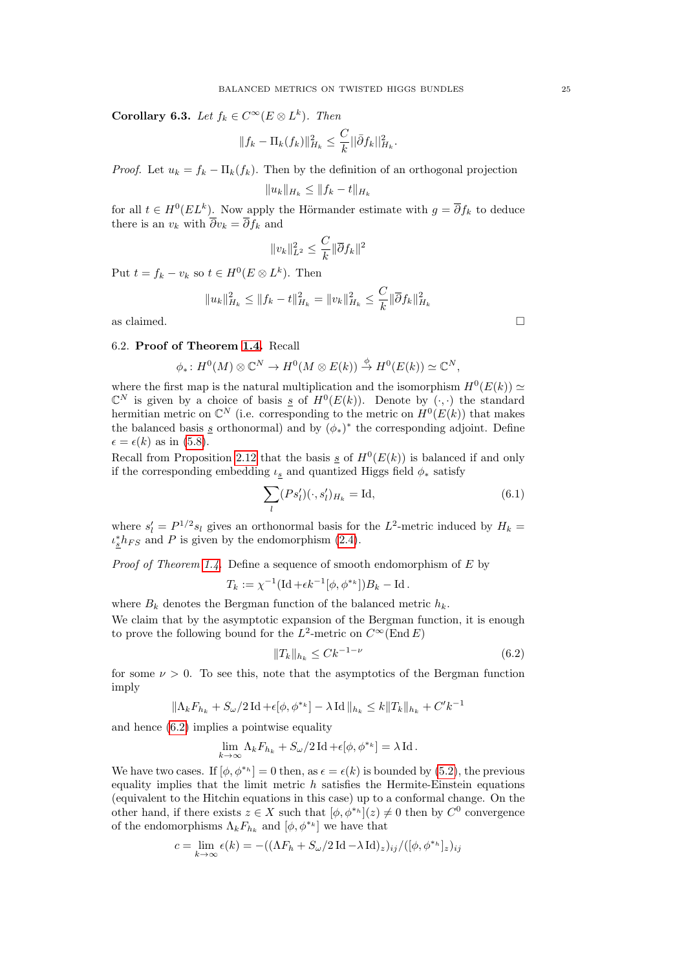<span id="page-24-1"></span>**Corollary 6.3.** Let  $f_k \in C^\infty(E \otimes L^k)$ . Then

$$
||f_k - \Pi_k(f_k)||_{H_k}^2 \leq \frac{C}{k} ||\bar{\partial} f_k||_{H_k}^2.
$$

*Proof.* Let  $u_k = f_k - \Pi_k(f_k)$ . Then by the definition of an orthogonal projection

$$
||u_k||_{H_k} \leq ||f_k - t||_{H_k}
$$

for all  $t \in H^0(EL^k)$ . Now apply the Hörmander estimate with  $g = \overline{\partial} f_k$  to deduce there is an  $v_k$  with  $\overline{\partial}v_k = \overline{\partial}f_k$  and

$$
||v_k||_{L^2}^2 \le \frac{C}{k} ||\overline{\partial} f_k||^2
$$

Put  $t = f_k - v_k$  so  $t \in H^0(E \otimes L^k)$ . Then

$$
||u_k||_{H_k}^2 \le ||f_k - t||_{H_k}^2 = ||v_k||_{H_k}^2 \le \frac{C}{k} ||\overline{\partial} f_k||_{H_k}^2
$$

as claimed.  $\hfill \square$ 

# 6.2. Proof of Theorem [1.4.](#page-2-0) Recall

$$
\phi_*\colon H^0(M)\otimes \mathbb{C}^N\to H^0(M\otimes E(k))\stackrel{\phi}{\to} H^0(E(k))\simeq \mathbb{C}^N,
$$

where the first map is the natural multiplication and the isomorphism  $H^0(E(k)) \simeq$  $\mathbb{C}^N$  is given by a choice of basis <u>s</u> of  $H^0(E(k))$ . Denote by  $(\cdot, \cdot)$  the standard hermitian metric on  $\mathbb{C}^N$  (i.e. corresponding to the metric on  $H^0(E(k))$  that makes the balanced basis  $\underline{s}$  orthonormal) and by  $(\phi_*)^*$  the corresponding adjoint. Define  $\epsilon = \epsilon(k)$  as in [\(5.8\)](#page-22-4).

Recall from Proposition [2.12](#page-7-2) that the basis  $\underline{s}$  of  $H^0(E(k))$  is balanced if and only if the corresponding embedding  $\iota_s$  and quantized Higgs field  $\phi_*$  satisfy

$$
\sum_{l} (Ps'_l)(\cdot, s'_l)_{H_k} = \text{Id},\tag{6.1}
$$

where  $s'_l = P^{1/2} s_l$  gives an orthonormal basis for the  $L^2$ -metric induced by  $H_k =$  $\iota_{\underline{s}}^* h_{FS}$  and P is given by the endomorphism [\(2.4\)](#page-6-4).

*Proof of Theorem [1.4.](#page-2-0)* Define a sequence of smooth endomorphism of  $E$  by

$$
T_k := \chi^{-1} (\text{Id} + \epsilon k^{-1} [\phi, \phi^{*k}]) B_k - \text{Id}.
$$

where  $B_k$  denotes the Bergman function of the balanced metric  $h_k$ .

We claim that by the asymptotic expansion of the Bergman function, it is enough to prove the following bound for the  $L^2$ -metric on  $C^{\infty}(\text{End } E)$ 

<span id="page-24-0"></span>
$$
||T_k||_{h_k} \le C k^{-1-\nu} \tag{6.2}
$$

for some  $\nu > 0$ . To see this, note that the asymptotics of the Bergman function imply

$$
\|\Lambda_k F_{h_k} + S_\omega/2 \operatorname{Id} + \epsilon[\phi, \phi^{*_k}] - \lambda \operatorname{Id}\|_{h_k} \le k \|T_k\|_{h_k} + C' k^{-1}
$$

and hence [\(6.2\)](#page-24-0) implies a pointwise equality

$$
\lim_{k\to\infty}\Lambda_kF_{h_k}+S_{\omega}/2\operatorname{Id}+\epsilon[\phi,\phi^{\ast_k}]=\lambda\operatorname{Id}.
$$

We have two cases. If  $[\phi, \phi^{*h}] = 0$  then, as  $\epsilon = \epsilon(k)$  is bounded by [\(5.2\)](#page-17-4), the previous equality implies that the limit metric  $h$  satisfies the Hermite-Einstein equations (equivalent to the Hitchin equations in this case) up to a conformal change. On the other hand, if there exists  $z \in X$  such that  $[\phi, \phi^{*_{h}}](z) \neq 0$  then by  $C^{0}$  convergence of the endomorphisms  $\Lambda_k F_{h_k}$  and  $[\phi, \phi^{*k}]$  we have that

$$
c=\lim_{k\rightarrow\infty}\epsilon(k)= -((\Lambda F_h+S_{\omega}/2\operatorname{Id}-\lambda\operatorname{Id})_z)_{ij}/([\phi,\phi^{*_h}]_z)_{ij}
$$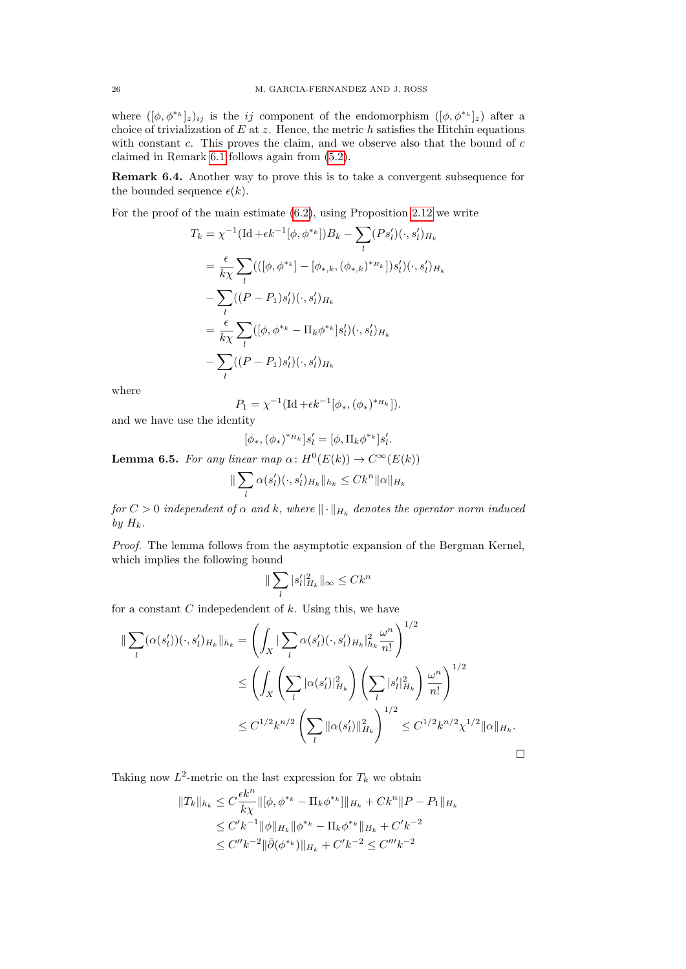where  $([\phi, \phi^{*h}]_z)_{ij}$  is the *ij* component of the endomorphism  $([\phi, \phi^{*h}]_z)$  after a choice of trivialization of  $E$  at  $z$ . Hence, the metric  $h$  satisfies the Hitchin equations with constant  $c$ . This proves the claim, and we observe also that the bound of  $c$ claimed in Remark [6.1](#page-23-1) follows again from [\(5.2\)](#page-17-4).

Remark 6.4. Another way to prove this is to take a convergent subsequence for the bounded sequence  $\epsilon(k)$ .

For the proof of the main estimate [\(6.2\)](#page-24-0), using Proposition [2.12](#page-7-2) we write

$$
T_k = \chi^{-1}(\text{Id} + \epsilon k^{-1}[\phi, \phi^{*k}])B_k - \sum_l (Ps'_l)(\cdot, s'_l)_{H_k}
$$
  
\n
$$
= \frac{\epsilon}{k\chi} \sum_l (((\phi, \phi^{*k}) - [\phi_{*,k}, (\phi_{*,k})^{*H_k}])s'_l)(\cdot, s'_l)_{H_k}
$$
  
\n
$$
- \sum_l ((P - P_1)s'_l)(\cdot, s'_l)_{H_k}
$$
  
\n
$$
= \frac{\epsilon}{k\chi} \sum_l ([\phi, \phi^{*k} - \Pi_k \phi^{*k}]s'_l)(\cdot, s'_l)_{H_k}
$$
  
\n
$$
- \sum_l ((P - P_1)s'_l)(\cdot, s'_l)_{H_k}
$$

where

$$
P_1 = \chi^{-1}(\text{Id} + \epsilon k^{-1}[\phi_*, (\phi_*)^{*H_k}]).
$$

and we have use the identity

$$
[\phi_*, (\phi_*)^{*_{H_k}}]s'_l = [\phi, \Pi_k \phi^{*_k}]s'_l.
$$

**Lemma 6.5.** For any linear map  $\alpha$ :  $H^0(E(k)) \to C^\infty(E(k))$ 

$$
\|\sum_{l}\alpha(s'_l)(\cdot,s'_l)_{H_k}\|_{h_k}\leq Ck^n\|\alpha\|_{H_k}
$$

for  $C>0$  independent of  $\alpha$  and  $k,$  where  $\lVert \cdot \rVert_{H_k}$  denotes the operator norm induced by  $H_k$ .

Proof. The lemma follows from the asymptotic expansion of the Bergman Kernel, which implies the following bound

$$
\|\sum_l |s_l'|^2_{H_k}\|_\infty \leq C k^n
$$

for a constant  $C$  indepedendent of  $k$ . Using this, we have

$$
\|\sum_{l} (\alpha(s'_{l}))(\cdot, s'_{l})_{H_{k}}\|_{h_{k}} = \left(\int_{X} |\sum_{l} \alpha(s'_{l})(\cdot, s'_{l})_{H_{k}}|_{h_{k}}^{2} \frac{\omega^{n}}{n!}\right)^{1/2} \le \left(\int_{X} \left(\sum_{l} |\alpha(s'_{l})|_{H_{k}}^{2}\right) \left(\sum_{l} |s'_{l}|_{H_{k}}^{2}\right) \frac{\omega^{n}}{n!}\right)^{1/2} \le C^{1/2} k^{n/2} \left(\sum_{l} \|\alpha(s'_{l})\|_{H_{k}}^{2}\right)^{1/2} \le C^{1/2} k^{n/2} \chi^{1/2} \|\alpha\|_{H_{k}}.
$$

Taking now  $L^2$ -metric on the last expression for  $T_k$  we obtain

$$
||T_k||_{h_k} \leq C \frac{\epsilon k^n}{k \chi} ||[\phi, \phi^{*k} - \Pi_k \phi^{*k}]||_{H_k} + C k^n ||P - P_1||_{H_k}
$$
  
\n
$$
\leq C' k^{-1} ||\phi||_{H_k} ||\phi^{*k} - \Pi_k \phi^{*k}||_{H_k} + C' k^{-2}
$$
  
\n
$$
\leq C'' k^{-2} ||\bar{\partial}(\phi^{*k})||_{H_k} + C' k^{-2} \leq C''' k^{-2}
$$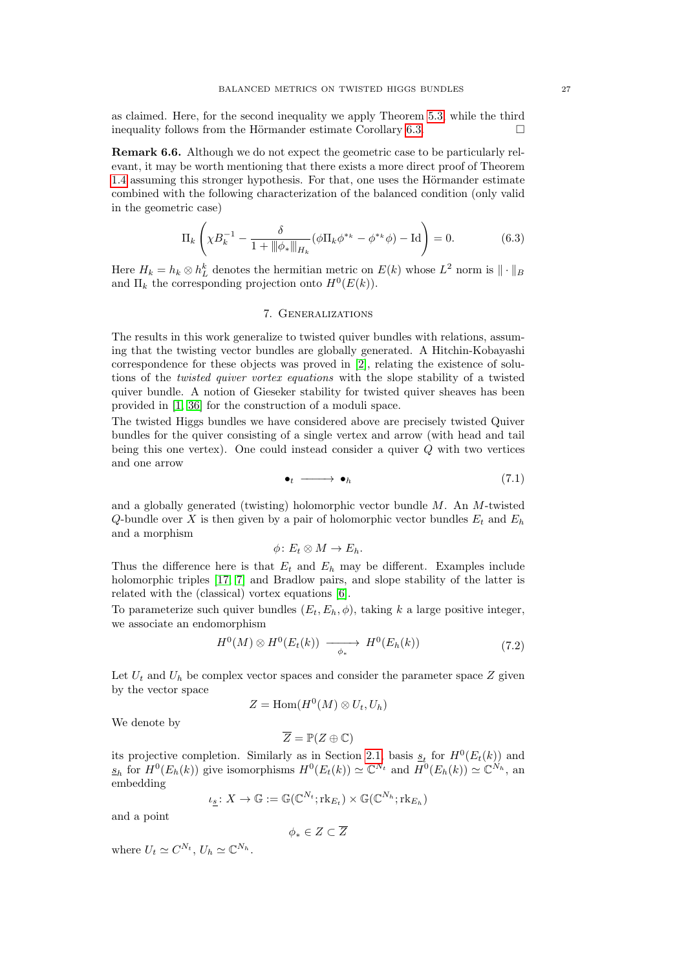as claimed. Here, for the second inequality we apply Theorem [5.3,](#page-18-0) while the third inequality follows from the Hörmander estimate Corollary [6.3.](#page-24-1)  $\Box$ 

Remark 6.6. Although we do not expect the geometric case to be particularly relevant, it may be worth mentioning that there exists a more direct proof of Theorem [1.4](#page-2-0) assuming this stronger hypothesis. For that, one uses the Hörmander estimate combined with the following characterization of the balanced condition (only valid in the geometric case)

$$
\Pi_k \left( \chi B_k^{-1} - \frac{\delta}{1 + \|\phi_*\|_{H_k}} (\phi \Pi_k \phi^{*_k} - \phi^{*_k} \phi) - \text{Id} \right) = 0. \tag{6.3}
$$

Here  $H_k = h_k \otimes h_L^k$  denotes the hermitian metric on  $E(k)$  whose  $L^2$  norm is  $\|\cdot\|_B$ and  $\Pi_k$  the corresponding projection onto  $H^0(E(k))$ .

## 7. Generalizations

<span id="page-26-0"></span>The results in this work generalize to twisted quiver bundles with relations, assuming that the twisting vector bundles are globally generated. A Hitchin-Kobayashi correspondence for these objects was proved in [\[2\]](#page-29-1), relating the existence of solutions of the *twisted quiver vortex equations* with the slope stability of a twisted quiver bundle. A notion of Gieseker stability for twisted quiver sheaves has been provided in [\[1,](#page-29-4) [36\]](#page-30-23) for the construction of a moduli space.

The twisted Higgs bundles we have considered above are precisely twisted Quiver bundles for the quiver consisting of a single vertex and arrow (with head and tail being this one vertex). One could instead consider a quiver  $Q$  with two vertices and one arrow

<span id="page-26-1"></span>
$$
\bullet_t \longrightarrow \bullet_h \tag{7.1}
$$

and a globally generated (twisting) holomorphic vector bundle  $M$ . An  $M$ -twisted Q-bundle over X is then given by a pair of holomorphic vector bundles  $E_t$  and  $E_h$ and a morphism

$$
\phi\colon E_t\otimes M\to E_h.
$$

Thus the difference here is that  $E_t$  and  $E_h$  may be different. Examples include holomorphic triples [\[17,](#page-30-31) [7\]](#page-30-32) and Bradlow pairs, and slope stability of the latter is related with the (classical) vortex equations [\[6\]](#page-30-33).

To parameterize such quiver bundles  $(E_t, E_h, \phi)$ , taking k a large positive integer, we associate an endomorphism

<span id="page-26-2"></span>
$$
H^{0}(M) \otimes H^{0}(E_{t}(k)) \longrightarrow H^{0}(E_{h}(k)) \tag{7.2}
$$

Let  $U_t$  and  $U_h$  be complex vector spaces and consider the parameter space Z given by the vector space

$$
Z = \text{Hom}(H^0(M) \otimes U_t, U_h)
$$

We denote by

$$
\overline{Z} = \mathbb{P}(Z \oplus \mathbb{C})
$$

its projective completion. Similarly as in Section [2.1,](#page-4-1) basis  $s_t$  for  $H^0(E_t(k))$  and  $\underline{s}_h$  for  $H^0(E_h(k))$  give isomorphisms  $H^0(E_t(k)) \simeq \mathbb{C}^{N_t}$  and  $H^0(E_h(k)) \simeq \mathbb{C}^{N_h}$ , and embedding

$$
\iota_{\underline{s}}\colon X\to \mathbb{G}:=\mathbb{G}(\mathbb{C}^{N_t};\mathrm{rk}_{E_t})\times \mathbb{G}(\mathbb{C}^{N_h};\mathrm{rk}_{E_h})
$$

and a point

$$
\phi_*\in Z\subset \overline{Z}
$$

where  $U_t \simeq C^{N_t}$ ,  $U_h \simeq \mathbb{C}^{N_h}$ .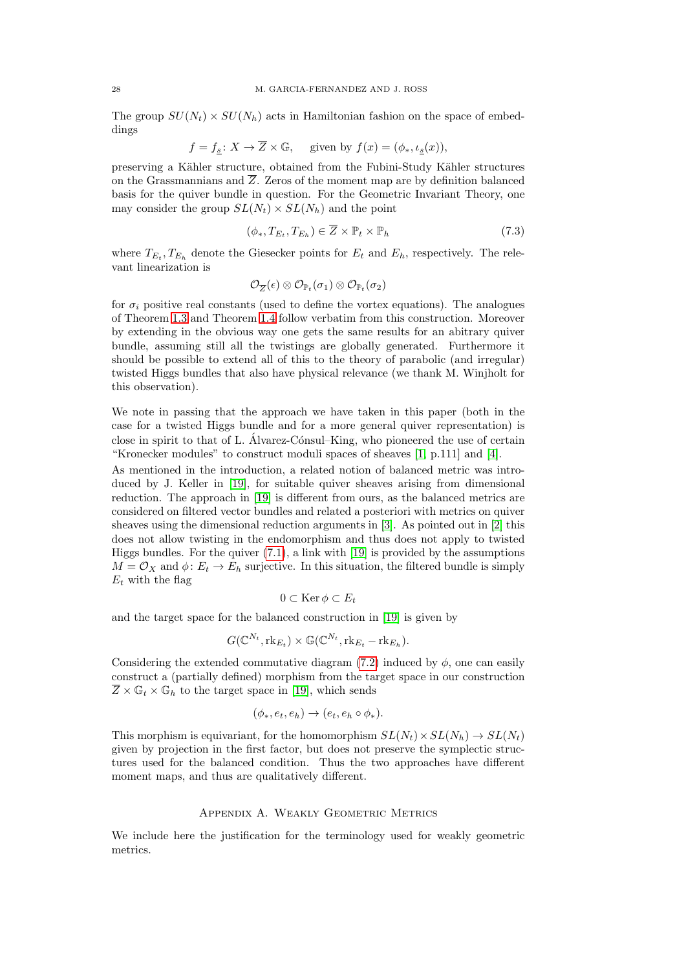The group  $SU(N_t) \times SU(N_h)$  acts in Hamiltonian fashion on the space of embeddings

$$
f = f_{\underline{s}} \colon X \to \overline{Z} \times \mathbb{G}, \text{ given by } f(x) = (\phi_*, \iota_{\underline{s}}(x)),
$$

preserving a Kähler structure, obtained from the Fubini-Study Kähler structures on the Grassmannians and  $\overline{Z}$ . Zeros of the moment map are by definition balanced basis for the quiver bundle in question. For the Geometric Invariant Theory, one may consider the group  $SL(N_t) \times SL(N_h)$  and the point

$$
(\phi_*, T_{E_t}, T_{E_h}) \in \overline{Z} \times \mathbb{P}_t \times \mathbb{P}_h \tag{7.3}
$$

where  $T_{E_t}, T_{E_h}$  denote the Giesecker points for  $E_t$  and  $E_h$ , respectively. The relevant linearization is

$$
\mathcal{O}_{\overline{Z}}(\epsilon)\otimes \mathcal{O}_{\mathbb{P}_t}(\sigma_1)\otimes \mathcal{O}_{\mathbb{P}_t}(\sigma_2)
$$

for  $\sigma_i$  positive real constants (used to define the vortex equations). The analogues of Theorem [1.3](#page-1-1) and Theorem [1.4](#page-2-0) follow verbatim from this construction. Moreover by extending in the obvious way one gets the same results for an abitrary quiver bundle, assuming still all the twistings are globally generated. Furthermore it should be possible to extend all of this to the theory of parabolic (and irregular) twisted Higgs bundles that also have physical relevance (we thank M. Winjholt for this observation).

We note in passing that the approach we have taken in this paper (both in the case for a twisted Higgs bundle and for a more general quiver representation) is close in spirit to that of L. Álvarez-Cónsul–King, who pioneered the use of certain "Kronecker modules" to construct moduli spaces of sheaves  $[1, p.111]$  $[1, p.111]$  and  $[4]$ .

As mentioned in the introduction, a related notion of balanced metric was introduced by J. Keller in [\[19\]](#page-30-17), for suitable quiver sheaves arising from dimensional reduction. The approach in [\[19\]](#page-30-17) is different from ours, as the balanced metrics are considered on filtered vector bundles and related a posteriori with metrics on quiver sheaves using the dimensional reduction arguments in [\[3\]](#page-29-2). As pointed out in [\[2\]](#page-29-1) this does not allow twisting in the endomorphism and thus does not apply to twisted Higgs bundles. For the quiver [\(7.1\)](#page-26-1), a link with [\[19\]](#page-30-17) is provided by the assumptions  $M = \mathcal{O}_X$  and  $\phi: E_t \to E_h$  surjective. In this situation, the filtered bundle is simply  $E_t$  with the flag

$$
0 \subset \operatorname{Ker} \phi \subset E_t
$$

and the target space for the balanced construction in [\[19\]](#page-30-17) is given by

$$
G(\mathbb{C}^{N_t},\text{rk}_{E_t}) \times \mathbb{G}(\mathbb{C}^{N_t},\text{rk}_{E_t} - \text{rk}_{E_h}).
$$

Considering the extended commutative diagram [\(7.2\)](#page-26-2) induced by  $\phi$ , one can easily construct a (partially defined) morphism from the target space in our construction  $\overline{Z} \times \mathbb{G}_t \times \mathbb{G}_h$  to the target space in [\[19\]](#page-30-17), which sends

$$
(\phi_*, e_t, e_h) \to (e_t, e_h \circ \phi_*).
$$

This morphism is equivariant, for the homomorphism  $SL(N_t) \times SL(N_h) \rightarrow SL(N_t)$ given by projection in the first factor, but does not preserve the symplectic structures used for the balanced condition. Thus the two approaches have different moment maps, and thus are qualitatively different.

### Appendix A. Weakly Geometric Metrics

<span id="page-27-0"></span>We include here the justification for the terminology used for weakly geometric metrics.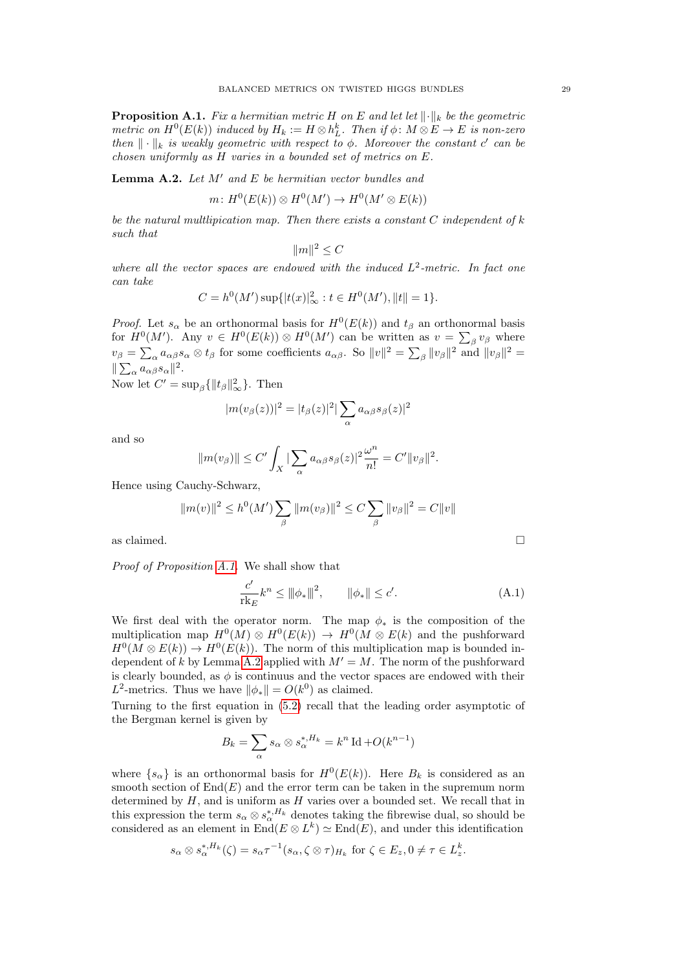<span id="page-28-0"></span>**Proposition A.1.** Fix a hermitian metric H on E and let let  $\|\cdot\|_k$  be the geometric metric on  $H^0(E(k))$  induced by  $H_k := H \otimes h_L^k$ . Then if  $\phi \colon M \otimes E \to E$  is non-zero then  $\|\cdot\|_k$  is weakly geometric with respect to  $\phi$ . Moreover the constant c' can be chosen uniformly as H varies in a bounded set of metrics on E.

<span id="page-28-1"></span>**Lemma A.2.** Let  $M'$  and  $E$  be hermitian vector bundles and

$$
m\colon H^0(E(k))\otimes H^0(M')\to H^0(M'\otimes E(k))
$$

be the natural multlipication map. Then there exists a constant  $C$  independent of  $k$ such that

$$
||m||^2 \leq C
$$

where all the vector spaces are endowed with the induced  $L^2$ -metric. In fact one can take

$$
C = h^{0}(M') \sup \{|t(x)|_{\infty}^{2} : t \in H^{0}(M'), \|t\| = 1\}.
$$

*Proof.* Let  $s_{\alpha}$  be an orthonormal basis for  $H^0(E(k))$  and  $t_{\beta}$  an orthonormal basis for  $H^0(M')$ . Any  $v \in H^0(E(k)) \otimes H^0(M')$  can be written as  $v = \sum_{\beta} v_{\beta}$  where  $v_{\beta} = \sum_{\alpha} a_{\alpha\beta} s_{\alpha} \otimes t_{\beta}$  for some coefficients  $a_{\alpha\beta}$ . So  $||v||^2 = \sum_{\beta} ||v_{\beta}||^2$  and  $||v_{\beta}||^2 =$  $\|\sum_{\alpha} a_{\alpha\beta} s_{\alpha}\|^2.$ 

Now let  $C' = \sup_{\beta} {\{\Vert t_{\beta} \Vert_{\infty}^2\}}$ . Then

$$
|m(v_\beta(z))|^2 = |t_\beta(z)|^2 |\sum_\alpha a_{\alpha\beta} s_\beta(z)|^2
$$

and so

$$
||m(v_{\beta})|| \leq C' \int_X |\sum_{\alpha} a_{\alpha\beta} s_{\beta}(z)|^2 \frac{\omega^n}{n!} = C'||v_{\beta}||^2.
$$

Hence using Cauchy-Schwarz,

$$
||m(v)||^2 \le h^0(M') \sum_{\beta} ||m(v_{\beta})||^2 \le C \sum_{\beta} ||v_{\beta}||^2 = C ||v||
$$
 as claimed.

Proof of Proposition [A.1.](#page-28-0) We shall show that

<span id="page-28-2"></span>
$$
\frac{c'}{\mathrm{rk}_E} k^n \le ||\phi_*||^2, \qquad ||\phi_*|| \le c'. \tag{A.1}
$$

We first deal with the operator norm. The map  $\phi_*$  is the composition of the multiplication map  $H^0(M) \otimes H^0(E(k)) \to H^0(M \otimes E(k))$  and the pushforward  $H^0(M \otimes E(k)) \to H^0(E(k))$ . The norm of this multiplication map is bounded in-dependent of k by Lemma [A.2](#page-28-1) applied with  $M' = M$ . The norm of the pushforward is clearly bounded, as  $\phi$  is continuus and the vector spaces are endowed with their  $L^2$ -metrics. Thus we have  $\|\phi_*\| = O(k^0)$  as claimed.

Turning to the first equation in [\(5.2\)](#page-17-4) recall that the leading order asymptotic of the Bergman kernel is given by

$$
B_k = \sum_{\alpha} s_{\alpha} \otimes s_{\alpha}^{*,H_k} = k^n \operatorname{Id} + O(k^{n-1})
$$

where  $\{s_{\alpha}\}\$ is an orthonormal basis for  $H^0(E(k))$ . Here  $B_k$  is considered as an smooth section of  $End(E)$  and the error term can be taken in the supremum norm determined by  $H$ , and is uniform as  $H$  varies over a bounded set. We recall that in this expression the term  $s_{\alpha} \otimes s_{\alpha}^{*,H_k}$  denotes taking the fibrewise dual, so should be considered as an element in  $\text{End}(E \otimes L^k) \simeq \text{End}(E)$ , and under this identification

$$
s_{\alpha} \otimes s_{\alpha}^{*,H_k}(\zeta) = s_{\alpha} \tau^{-1} (s_{\alpha}, \zeta \otimes \tau)_{H_k} \text{ for } \zeta \in E_z, 0 \neq \tau \in L_z^k.
$$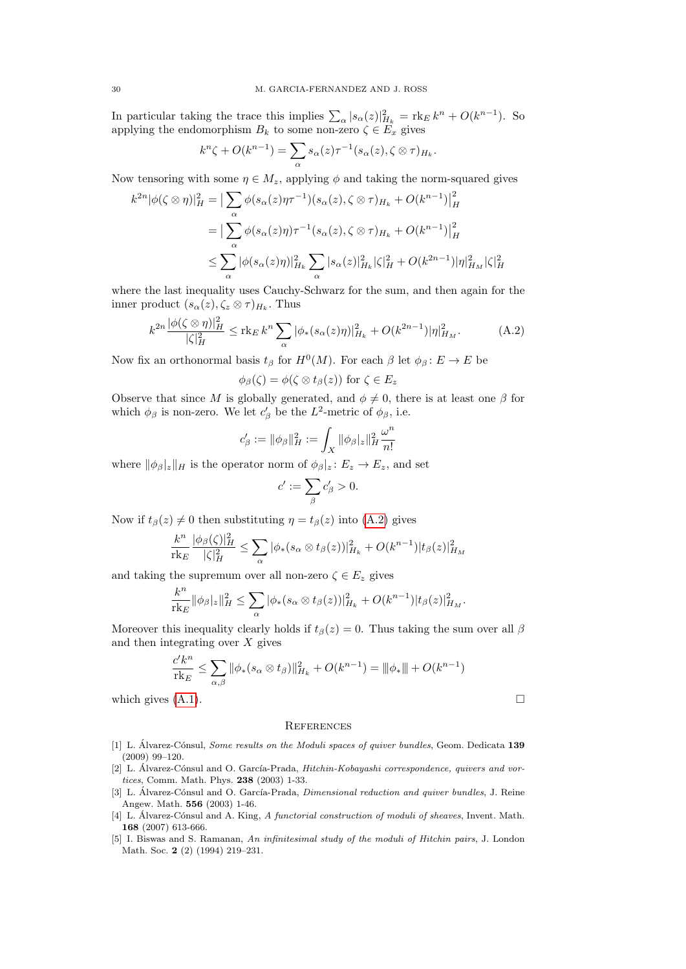In particular taking the trace this implies  $\sum_{\alpha} |s_{\alpha}(z)|_{H_k}^2 = \text{rk}_E k^n + O(k^{n-1}).$  So applying the endomorphism  $B_k$  to some non-zero  $\zeta \in E_x$  gives

$$
k^{n}\zeta + O(k^{n-1}) = \sum_{\alpha} s_{\alpha}(z)\tau^{-1}(s_{\alpha}(z), \zeta \otimes \tau)_{H_{k}}.
$$

Now tensoring with some  $\eta \in M_z$ , applying  $\phi$  and taking the norm-squared gives

$$
k^{2n} |\phi(\zeta \otimes \eta)|_H^2 = \left| \sum_{\alpha} \phi(s_{\alpha}(z)\eta^{-1})(s_{\alpha}(z), \zeta \otimes \tau)_{H_k} + O(k^{n-1}) \right|_H^2
$$
  
= 
$$
\left| \sum_{\alpha} \phi(s_{\alpha}(z)\eta)\tau^{-1}(s_{\alpha}(z), \zeta \otimes \tau)_{H_k} + O(k^{n-1}) \right|_H^2
$$
  

$$
\leq \sum_{\alpha} |\phi(s_{\alpha}(z)\eta)|_{H_k}^2 \sum_{\alpha} |s_{\alpha}(z)|_{H_k}^2 |\zeta|_H^2 + O(k^{2n-1}) |\eta|_{H_M}^2 |\zeta|_H^2
$$

where the last inequality uses Cauchy-Schwarz for the sum, and then again for the inner product  $(s_{\alpha}(z), \zeta_z \otimes \tau)_{H_k}$ . Thus

<span id="page-29-6"></span>
$$
k^{2n} \frac{|\phi(\zeta \otimes \eta)|_H^2}{|\zeta|_H^2} \leq \text{rk}_E k^n \sum_{\alpha} |\phi_*(s_\alpha(z)\eta)|_{H_k}^2 + O(k^{2n-1}) |\eta|_{H_M}^2. \tag{A.2}
$$

Now fix an orthonormal basis  $t_\beta$  for  $H^0(M)$ . For each  $\beta$  let  $\phi_\beta: E \to E$  be

$$
\phi_{\beta}(\zeta) = \phi(\zeta \otimes t_{\beta}(z)) \text{ for } \zeta \in E_z
$$

Observe that since M is globally generated, and  $\phi \neq 0$ , there is at least one  $\beta$  for which  $\phi_\beta$  is non-zero. We let  $c'_\beta$  be the L<sup>2</sup>-metric of  $\phi_\beta$ , i.e.

$$
c_\beta':=\|\phi_\beta\|_H^2:=\int_X\|\phi_\beta|_z\|_H^2\frac{\omega^n}{n!}
$$

where  $\|\phi_{\beta}\|_{z}\|_{H}$  is the operator norm of  $\phi_{\beta}\|_{z} : E_{z} \to E_{z}$ , and set

$$
c' := \sum_{\beta} c'_{\beta} > 0.
$$

Now if  $t_\beta(z) \neq 0$  then substituting  $\eta = t_\beta(z)$  into [\(A.2\)](#page-29-6) gives

$$
\frac{k^n}{\mathrm{rk}_E} \frac{|\phi_\beta(\zeta)|_H^2}{|\zeta|_H^2} \leq \sum_{\alpha} |\phi_*(s_\alpha \otimes t_\beta(z))|_{H_k}^2 + O(k^{n-1})|t_\beta(z)|_{H_M}^2
$$

and taking the supremum over all non-zero  $\zeta \in E_z$  gives

$$
\frac{k^n}{\text{rk}_E} \|\phi_{\beta}|_{z}\|_{H}^2 \leq \sum_{\alpha} |\phi_*(s_{\alpha} \otimes t_{\beta}(z))|_{H_k}^2 + O(k^{n-1})|t_{\beta}(z)|_{H_M}^2.
$$

Moreover this inequality clearly holds if  $t_\beta(z) = 0$ . Thus taking the sum over all  $\beta$ and then integrating over  $X$  gives

$$
\frac{c'k^n}{\mathrm{rk}_E} \le \sum_{\alpha,\beta} \|\phi_*(s_\alpha \otimes t_\beta)\|_{H_k}^2 + O(k^{n-1}) = \|\phi_*\| + O(k^{n-1})
$$

which gives  $(A.1)$ .

### <span id="page-29-0"></span>**REFERENCES**

- <span id="page-29-4"></span>[1] L. Álvarez-Cónsul, Some results on the Moduli spaces of quiver bundles, Geom. Dedicata 139 (2009) 99–120.
- <span id="page-29-1"></span>[2] L. Álvarez-Cónsul and O. García-Prada, *Hitchin-Kobayashi correspondence, quivers and vor*tices, Comm. Math. Phys. 238 (2003) 1-33.
- <span id="page-29-2"></span>[3] L. Álvarez-Cónsul and O. García-Prada, *Dimensional reduction and quiver bundles*, J. Reine Angew. Math. 556 (2003) 1-46.
- <span id="page-29-5"></span>[4] L. Álvarez-Cónsul and A. King, A functorial construction of moduli of sheaves, Invent. Math. 168 (2007) 613-666.
- <span id="page-29-3"></span>[5] I. Biswas and S. Ramanan, An infinitesimal study of the moduli of Hitchin pairs, J. London Math. Soc. 2 (2) (1994) 219–231.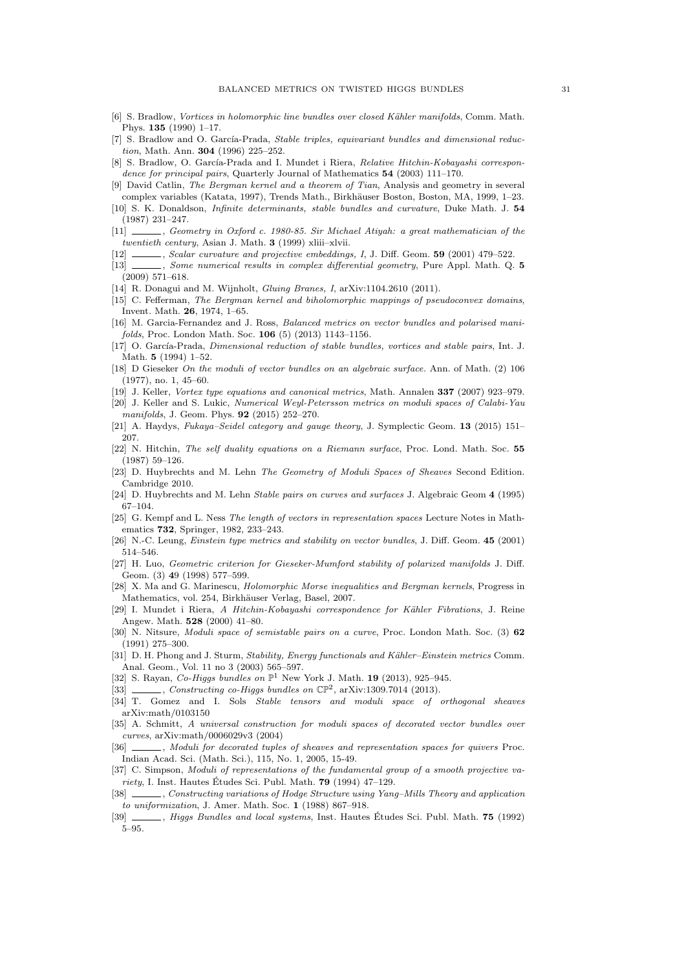- <span id="page-30-33"></span>[6] S. Bradlow, *Vortices in holomorphic line bundles over closed Kähler manifolds*. Comm. Math. Phys. 135 (1990) 1–17.
- <span id="page-30-32"></span>[7] S. Bradlow and O. García-Prada, Stable triples, equivariant bundles and dimensional reduction, Math. Ann. 304 (1996) 225–252.
- <span id="page-30-2"></span>[8] S. Bradlow, O. García-Prada and I. Mundet i Riera, Relative Hitchin-Kobayashi correspondence for principal pairs, Quarterly Journal of Mathematics 54 (2003) 111-170.
- <span id="page-30-9"></span>[9] David Catlin, The Bergman kernel and a theorem of Tian, Analysis and geometry in several complex variables (Katata, 1997), Trends Math., Birkhäuser Boston, Boston, MA, 1999, 1–23.
- <span id="page-30-4"></span>[10] S. K. Donaldson, *Infinite determinants, stable bundles and curvature*, Duke Math. J. 54 (1987) 231–247.
- <span id="page-30-5"></span>[11] \_\_\_\_\_, Geometry in Oxford c. 1980-85. Sir Michael Atiyah: a great mathematician of the twentieth century, Asian J. Math. 3 (1999) xliii–xlvii.
- <span id="page-30-12"></span>[12] , Scalar curvature and projective embeddings, I, J. Diff. Geom. 59 (2001) 479–522.
- <span id="page-30-18"></span>[13]  $\_\_\_\_\_\_\_\$  Some numerical results in complex differential geometry, Pure Appl. Math. Q. 5 (2009) 571–618.
- <span id="page-30-13"></span>[14] R. Donagui and M. Wijnholt, *Gluing Branes*, *I*, arXiv:1104.2610 (2011).
- <span id="page-30-10"></span>[15] C. Fefferman, The Bergman kernel and biholomorphic mappings of pseudoconvex domains, Invent. Math. 26, 1974, 1–65.
- <span id="page-30-24"></span>[16] M. Garcia-Fernandez and J. Ross, Balanced metrics on vector bundles and polarised manifolds, Proc. London Math. Soc. 106 (5) (2013) 1143–1156.
- <span id="page-30-31"></span>[17] O. García-Prada, *Dimensional reduction of stable bundles, vortices and stable pairs*, Int. J. Math. 5 (1994) 1–52.
- <span id="page-30-7"></span>[18] D Gieseker On the moduli of vector bundles on an algebraic surface. Ann. of Math. (2) 106 (1977), no. 1, 45–60.
- <span id="page-30-17"></span>[19] J. Keller, Vortex type equations and canonical metrics, Math. Annalen 337 (2007) 923–979.
- <span id="page-30-19"></span>[20] J. Keller and S. Lukic, Numerical Weyl-Petersson metrics on moduli spaces of Calabi-Yau manifolds, J. Geom. Phys. 92 (2015) 252–270.
- <span id="page-30-14"></span>[21] A. Haydys, Fukaya–Seidel category and gauge theory, J. Symplectic Geom. **13** (2015) 151– 207.
- <span id="page-30-0"></span>[22] N. Hitchin, The self duality equations on a Riemann surface, Proc. Lond. Math. Soc. 55 (1987) 59–126.
- <span id="page-30-22"></span>[23] D. Huybrechts and M. Lehn The Geometry of Moduli Spaces of Sheaves Second Edition. Cambridge 2010.
- <span id="page-30-25"></span>[24] D. Huybrechts and M. Lehn Stable pairs on curves and surfaces J. Algebraic Geom 4 (1995) 67–104.
- <span id="page-30-30"></span>[25] G. Kempf and L. Ness The length of vectors in representation spaces Lecture Notes in Mathematics 732, Springer, 1982, 233–243.
- <span id="page-30-6"></span>[26] N.-C. Leung, *Einstein type metrics and stability on vector bundles*, J. Diff. Geom. 45 (2001) 514–546.
- <span id="page-30-28"></span>[27] H. Luo, Geometric criterion for Gieseker-Mumford stability of polarized manifolds J. Diff. Geom. (3) 49 (1998) 577–599.
- <span id="page-30-11"></span>[28] X. Ma and G. Marinescu, Holomorphic Morse inequalities and Bergman kernels, Progress in Mathematics, vol. 254, Birkhäuser Verlag, Basel, 2007.
- <span id="page-30-29"></span>[29] I. Mundet i Riera, A Hitchin-Kobayashi correspondence for Kähler Fibrations, J. Reine Angew. Math. 528 (2000) 41–80.
- <span id="page-30-20"></span>[30] N. Nitsure, Moduli space of semistable pairs on a curve, Proc. London Math. Soc. (3) 62 (1991) 275–300.
- <span id="page-30-8"></span>[31] D. H. Phong and J. Sturm, Stability, Energy functionals and Kähler–Einstein metrics Comm. Anal. Geom., Vol. 11 no 3 (2003) 565–597.
- <span id="page-30-15"></span>[32] S. Rayan, Co-Higgs bundles on  $\mathbb{P}^1$  New York J. Math. 19 (2013), 925-945.
- <span id="page-30-16"></span>[33]  $\_\_\_\_\_\_\_\_\_\_\_\.\$  Constructing co-Higgs bundles on  $\mathbb{CP}^2$ , arXiv:1309.7014 (2013).
- <span id="page-30-26"></span>[34] T. Gomez and I. Sols Stable tensors and moduli space of orthogonal sheaves arXiv:math/0103150
- <span id="page-30-21"></span>[35] A. Schmitt, A universal construction for moduli spaces of decorated vector bundles over curves, arXiv:math/0006029v3 (2004)
- <span id="page-30-23"></span>[36] \_\_\_\_, Moduli for decorated tuples of sheaves and representation spaces for quivers Proc. Indian Acad. Sci. (Math. Sci.), 115, No. 1, 2005, 15-49.
- <span id="page-30-27"></span>[37] C. Simpson, Moduli of representations of the fundamental group of a smooth projective variety, I. Inst. Hautes Études Sci. Publ. Math.  $79$  (1994) 47–129.
- <span id="page-30-3"></span>[38] , Constructing variations of Hodge Structure using Yang–Mills Theory and application to uniformization, J. Amer. Math. Soc. 1 (1988) 867–918.
- <span id="page-30-1"></span>[39]  $\qquad \qquad$ , Higgs Bundles and local systems, Inst. Hautes Études Sci. Publ. Math. 75 (1992) 5–95.